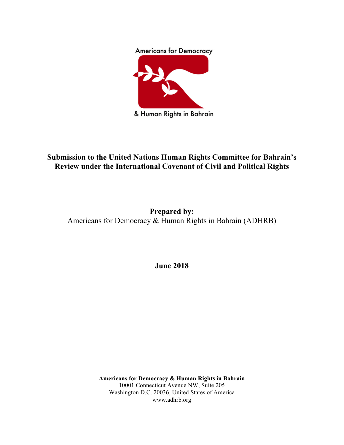## **Americans for Democracy**



& Human Rights in Bahrain

# **Submission to the United Nations Human Rights Committee for Bahrain's Review under the International Covenant of Civil and Political Rights**

# **Prepared by:** Americans for Democracy & Human Rights in Bahrain (ADHRB)

**June 2018**

**Americans for Democracy & Human Rights in Bahrain** 10001 Connecticut Avenue NW, Suite 205 Washington D.C. 20036, United States of America www.adhrb.org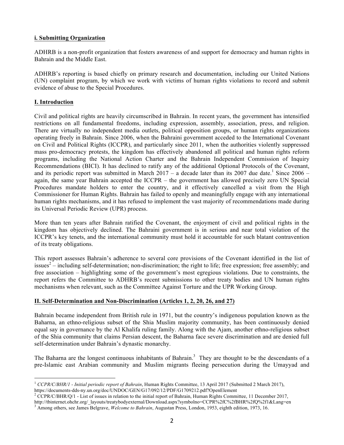#### **i. Submitting Organization**

ADHRB is a non-profit organization that fosters awareness of and support for democracy and human rights in Bahrain and the Middle East.

ADHRB's reporting is based chiefly on primary research and documentation, including our United Nations (UN) complaint program, by which we work with victims of human rights violations to record and submit evidence of abuse to the Special Procedures.

## **I. Introduction**

Civil and political rights are heavily circumscribed in Bahrain. In recent years, the government has intensified restrictions on all fundamental freedoms, including expression, assembly, association, press, and religion. There are virtually no independent media outlets, political opposition groups, or human rights organizations operating freely in Bahrain. Since 2006, when the Bahraini government acceded to the International Covenant on Civil and Political Rights (ICCPR), and particularly since 2011, when the authorities violently suppressed mass pro-democracy protests, the kingdom has effectively abandoned all political and human rights reform programs, including the National Action Charter and the Bahrain Independent Commission of Inquiry Recommendations (BICI). It has declined to ratify any of the additional Optional Protocols of the Covenant, and its periodic report was submitted in March  $2017 - a$  decade later than its 2007 due date.<sup>1</sup> Since 2006 – again, the same year Bahrain accepted the ICCPR – the government has allowed precisely zero UN Special Procedures mandate holders to enter the country, and it effectively cancelled a visit from the High Commissioner for Human Rights. Bahrain has failed to openly and meaningfully engage with any international human rights mechanisms, and it has refused to implement the vast majority of recommendations made during its Universal Periodic Review (UPR) process.

More than ten years after Bahrain ratified the Covenant, the enjoyment of civil and political rights in the kingdom has objectively declined. The Bahraini government is in serious and near total violation of the ICCPR's key tenets, and the international community must hold it accountable for such blatant contravention of its treaty obligations.

This report assesses Bahrain's adherence to several core provisions of the Covenant identified in the list of issues<sup>2</sup> – including self-determination; non-discrimination; the right to life; free expression; free assembly; and free association – highlighting some of the government's most egregious violations. Due to constraints, the report refers the Committee to ADHRB's recent submissions to other treaty bodies and UN human rights mechanisms when relevant, such as the Committee Against Torture and the UPR Working Group.

## **II. Self-Determination and Non-Discrimination (Articles 1, 2, 20, 26, and 27)**

Bahrain became independent from British rule in 1971, but the country's indigenous population known as the Baharna, an ethno-religious subset of the Shia Muslim majority community, has been continuously denied equal say in governance by the Al Khalifa ruling family. Along with the Ajam, another ethno-religious subset of the Shia community that claims Persian descent, the Baharna face severe discrimination and are denied full self-determination under Bahrain's dynastic monarchy.

The Baharna are the longest continuous inhabitants of Bahrain.<sup>3</sup> They are thought to be the descendants of a pre-Islamic east Arabian community and Muslim migrants fleeing persecution during the Umayyad and

<sup>&</sup>lt;sup>1</sup> *CCPR/C/BHR/1* - *Initial periodic report of Bahrain*, Human Rights Committee, 13 April 2017 (Submitted 2 March 2017), https://documents-dds-ny.un.org/doc/UNDOC/GEN/G17/092/12/PDF/G1709212.pdf?OpenElement

<sup>&</sup>lt;sup>2</sup> CCPR/C/BHR/Q/1 - List of issues in relation to the initial report of Bahrain, Human Rights Committee, 11 December 2017, http://tbinternet.ohchr.org/\_layouts/treatybodyexternal/Download.aspx?symbolno=CCPR%2fC%2fBHR%2fQ%2f1&Lang=en <sup>3</sup> Among others, see James Belgrave, *Welcome to Bahrain*, Augustan Press, London, 1953, eighth edition, 1973, 16.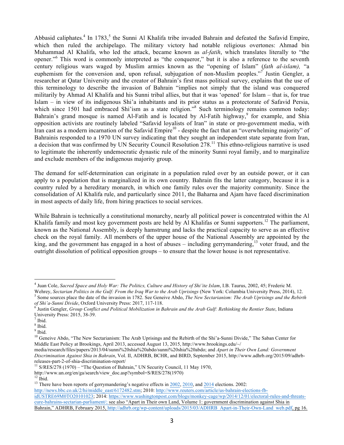Abbasid caliphates.<sup>4</sup> In 1783,<sup>5</sup> the Sunni Al Khalifa tribe invaded Bahrain and defeated the Safavid Empire, which then ruled the archipelago. The military victory had notable religious overtones: Ahmad bin Muhammad Al Khalifa, who led the attack, became known as *al-fatih*, which translates literally to "the opener." <sup>6</sup> This word is commonly interpreted as "the conqueror," but it is also a reference to the seventh century religious wars waged by Muslim armies known as the "opening of Islam" (*fath al-islam),* "a euphemism for the conversion and, upon refusal, subjugation of non-Muslim peoples."<sup>7</sup> Justin Gengler, a researcher at Qatar University and the creator of Bahrain's first mass political survey, explains that the use of this terminology to describe the invasion of Bahrain "implies not simply that the island was conquered militarily by Ahmad Al Khalifa and his Sunni tribal allies, but that it was 'opened' for Islam – that is, for true Islam – in view of its indigenous Shi'a inhabitants and its prior status as a protectorate of Safavid Persia, which since 1501 had embraced Shi'ism as a state religion."<sup>8</sup> Such terminology remains common today: Bahrain's grand mosque is named Al-Fatih and is located by Al-Fatih highway,<sup>9</sup> for example, and Shia opposition activists are routinely labeled "Safavid loyalists of Iran" in state or pro-government media, with Iran cast as a modern incarnation of the Safavid Empire<sup>10</sup> - despite the fact that an "overwhelming majority" of Bahrainis responded to a 1970 UN survey indicating that they sought an independent state separate from Iran, a decision that was confirmed by UN Security Council Resolution 278.<sup>11</sup> This ethno-religious narrative is used to legitimate the inherently undemocratic dynastic rule of the minority Sunni royal family, and to marginalize and exclude members of the indigenous majority group.

The demand for self-determination can originate in a population ruled over by an outside power, or it can apply to a population that is marginalized in its own country. Bahrain fits the latter category, because it is a country ruled by a hereditary monarch, in which one family rules over the majority community. Since the consolidation of Al Khalifa rule, and particularly since 2011, the Baharna and Ajam have faced discrimination in most aspects of daily life, from hiring practices to social services.

While Bahrain is technically a constitutional monarchy, nearly all political power is concentrated within the Al Khalifa family and most key government posts are held by Al Khalifas or Sunni supporters.<sup>12</sup> The parliament, known as the National Assembly, is deeply hamstrung and lacks the practical capacity to serve as an effective check on the royal family. All members of the upper house of the National Assembly are appointed by the king, and the government has engaged in a host of abuses – including gerrymandering,<sup>13</sup> voter fraud, and the outright dissolution of political opposition groups – to ensure that the lower house is not representative.

 <sup>4</sup> Juan Cole, *Sacred Space and Holy War: The Politics, Culture and History of Shi'ite Islam*, I.B. Taurus, 2002, 45; Frederic M. Wehrey, Sectarian Politics in the Gulf: From the Iraq War to the Arab Uprisings (New York: Columbia University Press, 2014), 12.<br><sup>5</sup> Some sources place the date of the invasion in 1782. See Geneive Abdo, *The New Sectarian* 

Justin Gengler, Group Conflict and Political Mobilization in Bahrain and the Arab Gulf: Rethinking the Rentier State, Indiana University Press: 2015, 38-39.<br> $<sup>7</sup>$  Ibid.</sup>

 $8$  Ibid.

 $9$  Ibid.

<sup>&</sup>lt;sup>10</sup> Geneive Abdo, "The New Sectarianism: The Arab Uprisings and the Rebirth of the Shi'a-Sunni Divide," The Saban Center for Middle East Policy at Brookings, April 2013, accessed August 13, 2015, http://www.brookings.edu/~/

media/research/files/papers/2013/04/sunni%20shia%20abdo/sunni%20shia%20abdo; and *Apart in Their Own Land: Government Discrimination Against Shia in Bahrain*, Vol. II, ADHRB, BCHR, and BIRD, September 2015, http://www.adhrb.org/2015/09/adhrbreleases-part-2-of-shia-discrimination-report/<br><sup>11</sup> S/RES/278 (1970) – "The Question of Bahrain," UN Security Council, 11 May 1970,

http://www.un.org/en/ga/search/view\_doc.asp?symbol=S/RES/278(1970)

<sup>&</sup>lt;sup>13</sup> There have been reports of gerrymandering's negative effects in  $\frac{2002}{2010}$ , and  $\frac{2014}{2014}$  elections. 2002:

http://news.bbc.co.uk/2/hi/middle\_east/6172482.stm; 2010: http://www.reuters.com/article/us-bahrain-elections-fbidUSTRE69M0TO20101023; 2014: https://www.washingtonpost.com/blogs/monkey-cage/wp/2014/12/01/electoral-rules-and-threatscure-bahrains-sectarian-parliament/; see also "Apart in Their own Land, Volume 1: government discrimination against Shia in Bahrain," ADHRB, February 2015, http://adhrb.org/wp-content/uploads/2015/03/ADHRB\_Apart-in-Their-Own-Land\_web.pdf, pg 16.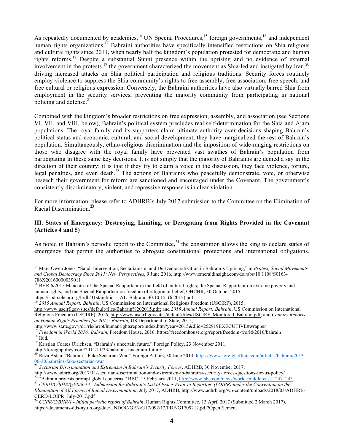As repeatedly documented by academics,<sup>14</sup> UN Special Procedures,<sup>15</sup> foreign governments,<sup>16</sup> and independent human rights organizations,<sup>17</sup> Bahraini authorities have specifically intensified restrictions on Shia religious and cultural rights since 2011, when nearly half the kingdom's population protested for democratic and human rights reforms.<sup>18</sup> Despite a substantial Sunni presence within the uprising and no evidence of external involvement in the protests,  $^{19}$  the government characterized the movement as Shia-led and instigated by Iran,  $^{20}$ driving increased attacks on Shia political participation and religious traditions. Security forces routinely employ violence to suppress the Shia community's rights to free assembly, free association, free speech, and free cultural or religious expression. Conversely, the Bahraini authorities have also virtually barred Shia from employment in the security services, preventing the majority community from participating in national policing and defense.<sup>21</sup>

Combined with the kingdom's broader restrictions on free expression, assembly, and association (see Sections VI, VII, and VIII, below), Bahrain's political system precludes real self-determination for the Shia and Ajam populations. The royal family and its supporters claim ultimate authority over decisions shaping Bahrain's political status and economic, cultural, and social development, they have marginalized the rest of Bahrain's population. Simultaneously, ethno-religious discrimination and the imposition of wide-ranging restrictions on those who disagree with the royal family have prevented vast swathes of Bahrain's population from participating in these same key decisions. It is not simply that the majority of Bahrainis are denied a say in the direction of their country: it is that if they try to claim a voice in the discussion, they face violence, torture, legal penalties, and even death.<sup>22</sup> The actions of Bahrainis who peacefully demonstrate, vote, or otherwise beseech their government for reform are sanctioned and encouraged under the Covenant. The government's consistently discriminatory, violent, and repressive response is in clear violation.

For more information, please refer to ADHRB's July 2017 submission to the Committee on the Elimination of Racial Discrimination.<sup>2</sup>

## **III. States of Emergency: Destroying, Limiting, or Derogating from Rights Provided in the Covenant (Articles 4 and 5)**

As noted in Bahrain's periodic report to the Committee, $^{24}$  the constitution allows the king to declare states of emergency that permit the authorities to abrogate constitutional protections and international obligations.

http://www.state.gov/j/drl/rls/hrrpt/humanrightsreport/index.htm?year=2015&dlid=252919EXECUTIVE#wrapper

<sup>&</sup>lt;sup>14</sup> Marc Owen Jones, "Saudi Intervention, Sectarianism, and De-Democratization in Bahrain's Uprising," in Protest, Social Movements *and Global Democracy Since 2011: New Perspectives*, 9 June 2016, http://www.emeraldinsight.com/doi/abs/10.1108/S0163- 786X20160000039011

<sup>&</sup>lt;sup>15</sup> BHR 6/2015 Mandates of the Special Rapporteur in the field of cultural rights; the Special Rapporteur on extreme poverty and human rights; and the Special Rapporteur on freedom of religion or belief, OHCHR, 30 October 2015,

https://spdb.ohchr.org/hrdb/31st/public\_-\_AL\_Bahrain\_30.10.15\_(6.2015).pdf <sup>16</sup> *2015 Annual Report: Bahrain*, US Commission on International Religious Freedom (USCIRF), 2015,

http://www.uscirf.gov/sites/default/files/Bahrain%202015.pdf; and *2016 Annual Report: Bahrain*, US Commission on International Religious Freedom (USCIRF), 2016, http://www.uscirf.gov/sites/default/files/USCIRF\_Monitored\_Bahrain.pdf; and *Country Reports on Human Rights Practices for 2015: Bahrain,* US Department of State*,* 2015,

<sup>&</sup>lt;sup>17</sup> *Freedom in World 2016: Bahrain*, Freedom House, 2016, https://freedomhouse.org/report/freedom-world/2016/bahrain <sup>18</sup> Ibid. 19 Kristian Coates Ulrichsen, "Bahrain's uncertain future," Foreign Policy, 23 November 2011

http://foreignpolicy.com/2011/11/23/bahrains-uncertain-future/<br><sup>20</sup> Reza Aslan, "Bahrain's Fake Sectarian War." Foreign Affairs, 30 June 2013, https://www.foreignaffairs.com/articles/bahrain/2013-06-30/bahrains-fake-sectarian-war <sup>21</sup> *Sectarian Discrimination and Extremism in Bahrain's Security Forces*, ADHRB, 30 November 2017,

<sup>23</sup> CERD/C/BHR/OPR/8-14 - Submission for Bahrain's List of Issues Prior to Reporting (LOIPR) under the Convention on the<br><sup>22</sup> "Bahrain protests prompt global concerns," BBC, 15 February 2011, http://www.bbc.com/news/world-m

*Elimination of All Forms of Racial Discrimination*, July 2017, ADHRB, http://www.adhrb.org/wp-content/uploads/2018/03/ADHRB-CERD-LOIPR\_July-2017.pdf <sup>24</sup> *CCPR/C/BHR/1 - Initial periodic report of Bahrain*, Human Rights Committee, 13 April 2017 (Submitted 2 March 2017),

https://documents-dds-ny.un.org/doc/UNDOC/GEN/G17/092/12/PDF/G1709212.pdf?OpenElement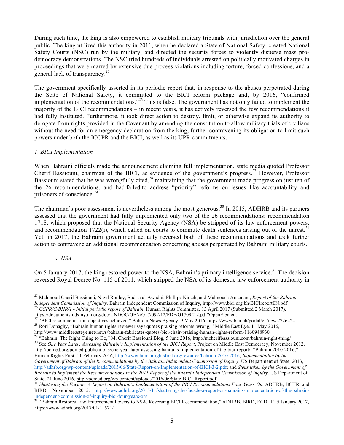During such time, the king is also empowered to establish military tribunals with jurisdiction over the general public. The king utilized this authority in 2011, when he declared a State of National Safety, created National Safety Courts (NSC) run by the military, and directed the security forces to violently disperse mass prodemocracy demonstrations. The NSC tried hundreds of individuals arrested on politically motivated charges in proceedings that were marred by extensive due process violations including torture, forced confessions, and a general lack of transparency.<sup>25</sup>

The government specifically asserted in its periodic report that, in response to the abuses perpetrated during the State of National Safety, it committed to the BICI reform package and, by 2016, "confirmed implementation of the recommendations."<sup>26</sup> This is false. The government has not only failed to implement the majority of the BICI recommendations – in recent years, it has actively reversed the few recommendations it had fully instituted. Furthermore, it took direct action to destroy, limit, or otherwise expand its authority to derogate from rights provided in the Covenant by amending the constitution to allow military trials of civilians without the need for an emergency declaration from the king, further contravening its obligation to limit such powers under both the ICCPR and the BICI, as well as its UPR commitments.

## *1. BICI Implementation*

When Bahraini officials made the announcement claiming full implementation, state media quoted Professor Cherif Bassiouni, chairman of the BICI, as evidence of the government's progress.<sup>27</sup> However, Professor Bassiouni stated that he was wrongfully cited, $^{28}$  maintaining that the government made progress on just ten of the 26 recommendations, and had failed to address "priority" reforms on issues like accountability and prisoners of conscience.<sup>29</sup>

The chairman's poor assessment is nevertheless among the most generous.<sup>30</sup> In 2015, ADHRB and its partners assessed that the government had fully implemented only two of the 26 recommendations: recommendation 1718, which proposed that the National Security Agency (NSA) be stripped of its law enforcement powers; and recommendation 1722(i), which called on courts to commute death sentences arising out of the unrest.<sup>31</sup> Yet, in 2017, the Bahraini government actually reversed both of these recommendations and took further action to contravene an additional recommendation concerning abuses perpetrated by Bahraini military courts.

#### *a. NSA*

On 5 January 2017, the king restored power to the NSA, Bahrain's primary intelligence service.<sup>32</sup> The decision reversed Royal Decree No. 115 of 2011, which stripped the NSA of its domestic law enforcement authority in

<sup>&</sup>lt;sup>25</sup> Mahmoud Cherif Bassiouni, Nigel Rodley, Badria al-Awadhi, Phillipe Kirsch, and Mahnoush Arsanjani, *Report of the Bahrain Independent Commission of Inquiry*, Bahrain Independent Commission of Inquiry, http://www.bic <sup>26</sup> CCPR/C/BHR/1 - Initial periodic report of Bahrain, Human Rights Committee, 13 April 2017 (Submitted 2 March 2017), https://documents-dds-ny.un.org/doc/UNDOC/GEN/G17/092/12/PDF/G1709212.pdf?OpenElement

<sup>&</sup>lt;sup>27</sup> "BICI recommendation objectives achieved," Bahrain News Agency, 9 May 2016, https://www.bna.bh/portal/en/news/726424<br><sup>28</sup> Rori Donaghy, "Bahrain human rights reviewer says quotes praising reforms 'wrong," Middle East

http://www.middleeasteye.net/news/bahrain-fabricates-quotes-bici-chair-praising-human-rights-reform-1160948930<br><sup>29</sup> "Bahrain: The Right Thing to Do," M. Cherif Bassiouni Blog, 5 June 2016, http://mcherifbassiouni.com/bahra http://pomed.org/pomed-publications/one-year-later-assessing-bahrains-implementation-of-the-bici-report/; "Bahrain 2010-2016," Human Rights First, 11 February 2016, http://www.humanrightsfirst.org/resource/bahrain-2010-2016; *Implementation by the Government of Bahrain of the Recommendations by the Bahrain Independent Commission of Inquiry*, US Department of State, 2013, http://adhrb.org/wp-content/uploads/2015/06/State-Report-on-Implementation-of-BICI-3-2.pdf; and *Steps taken by the Government of*  Bahrain to Implement the Recommendations in the 2011 Report of the Bahrain Independent Commission of Inquiry, US Department of State, 21 June 2016, http://pomed.org/wp-content/uploads/2016/06/State-BICI-Report.pdf<br><sup>31</sup> Shattering the Façade: A Report on Bahrain's Implementation of the BICI Recommendations Four Years On, ADHRB, BCHR, and

BIRD, November 2015, http://www.adhrb.org/2015/11/shattering-the-facade-a-report-on-bahrains-implementation-of-the-bahrain-

independent-commission-of-inquiry-bici-four-years-on/<br><sup>32</sup> "Bahrain Restores Law Enforcement Powers to NSA, Reversing BICI Recommendation," ADHRB, BIRD, ECDHR, 5 January 2017, https://www.adhrb.org/2017/01/11571/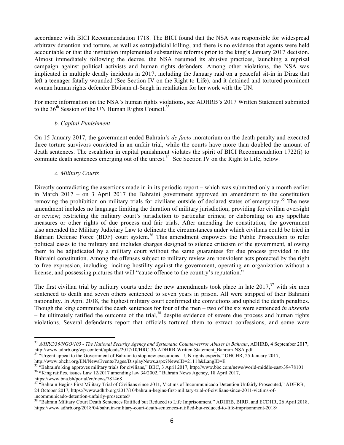accordance with BICI Recommendation 1718. The BICI found that the NSA was responsible for widespread arbitrary detention and torture, as well as extrajudicial killing, and there is no evidence that agents were held accountable or that the institution implemented substantive reforms prior to the king's January 2017 decision. Almost immediately following the decree, the NSA resumed its abusive practices, launching a reprisal campaign against political activists and human rights defenders. Among other violations, the NSA was implicated in multiple deadly incidents in 2017, including the January raid on a peaceful sit-in in Diraz that left a teenager fatally wounded (See Section IV on the Right to Life), and it detained and tortured prominent woman human rights defender Ebtisam al-Saegh in retaliation for her work with the UN.

For more information on the NSA's human rights violations, see ADHRB's 2017 Written Statement submitted to the  $36<sup>th</sup>$  Session of the UN Human Rights Council.<sup>33</sup>

#### *b. Capital Punishment*

On 15 January 2017, the government ended Bahrain's *de facto* moratorium on the death penalty and executed three torture survivors convicted in an unfair trial, while the courts have more than doubled the amount of death sentences. The escalation in capital punishment violates the spirit of BICI Recommendation 1722(i) to commute death sentences emerging out of the unrest.<sup>34</sup> See Section IV on the Right to Life, below.

#### *c. Military Courts*

Directly contradicting the assertions made in in its periodic report – which was submitted only a month earlier in March 2017 – on 3 April 2017 the Bahraini government approved an amendment to the constitution removing the prohibition on military trials for civilians outside of declared states of emergency.<sup>35</sup> The new amendment includes no language limiting the duration of military jurisdiction; providing for civilian oversight or review; restricting the military court's jurisdiction to particular crimes; or elaborating on any appellate measures or other rights of due process and fair trials. After amending the constitution, the government also amended the Military Judiciary Law to delineate the circumstances under which civilians could be tried in Bahrain Defense Force (BDF) court system.<sup>36</sup> This amendment empowers the Public Prosecution to refer political cases to the military and includes charges designed to silence criticism of the government, allowing them to be adjudicated by a military court without the same guarantees for due process provided in the Bahraini constitution. Among the offenses subject to military review are nonviolent acts protected by the right to free expression, including: inciting hostility against the government, operating an organization without a license, and possessing pictures that will "cause offence to the country's reputation."

The first civilian trial by military courts under the new amendments took place in late  $2017$ ,  $37$  with six men sentenced to death and seven others sentenced to seven years in prison. All were stripped of their Bahraini nationality. In April 2018, the highest military court confirmed the convictions and upheld the death penalties. Though the king commuted the death sentences for four of the men – two of the six were sentenced *in absentia* – he ultimately ratified the outcome of the trial,<sup>38</sup> despite evidence of severe due process and human rights violations. Several defendants report that officials tortured them to extract confessions, and some were

<sup>&</sup>lt;sup>33</sup> *A/HRC/36/NGO/103 - The National Security Agency and Systematic Counter-terror Abuses in Bahrain*, ADHRB, 4 September 2017, http://www.adhrb.org/wp-content/uploads/2017/10/HRC-36-ADHRB-Written-Statement Bahrain-NSA.pd

 $h^3$  "Urgent appeal to the Government of Bahrain to stop new executions – UN rights experts," OHCHR, 25 January 2017, http://www.ohchr.org/EN/NewsEvents/Pages/DisplayNews.aspx?NewsID=21118&LangID=E

<sup>&</sup>lt;sup>35</sup> "Bahrain's king approves military trials for civilians," BBC, 3 April 2017, http://www.bbc.com/news/world-middle-east-39478101<br><sup>36</sup> "King ratifies, issues Law 12/2017 amending law 34/2002," Bahrain News Agency, 18 Ap

https://www.bna.bh/portal/en/news/781468

<sup>37</sup> "Bahrain Begins First Military Trial of Civilians since 2011, Victims of Incommunicado Detention Unfairly Prosecuted," ADHRB, 24 October 2017, https://www.adhrb.org/2017/10/bahrain-begins-first-military-trial-of-civilians-since-2011-victims-of-

incommunicado-detention-unfairly-prosecuted/<br><sup>38</sup> "Bahrain Military Court Death Sentences Ratified but Reduced to Life Imprisonment," ADHRB, BIRD, and ECDHR, 26 April 2018, https://www.adhrb.org/2018/04/bahrain-military-court-death-sentences-ratified-but-reduced-to-life-imprisonment-2018/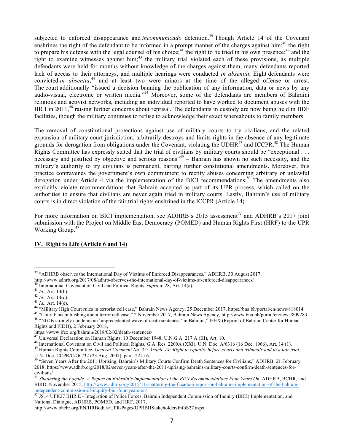subjected to enforced disappearance and *incommunicado* detention.<sup>39</sup> Though Article 14 of the Covenant enshrines the right of the defendant to be informed in a prompt manner of the charges against him;<sup>40</sup> the right to prepare his defense with the legal counsel of his choice;<sup>41</sup> the right to be tried in his own presence;<sup>42</sup> and the right to examine witnesses against him;<sup>43</sup> the military trial violated each of these provisions, as multiple defendants were held for months without knowledge of the charges against them, many defendants reported lack of access to their attorneys, and multiple hearings were conducted *in absentia*. Eight defendants were convicted *in absentia*,<sup>44</sup> and at least two were minors at the time of the alleged offense or arrest. The court additionally "issued a decision banning the publication of any information, data or news by any audio-visual, electronic or written media."<sup>45</sup> Moreover, some of the defendants are members of Bahraini religious and activist networks, including an individual reported to have worked to document abuses with the BICI in 2011,<sup>46</sup> raising further concerns about reprisal. The defendants in custody are now being held in BDF facilities, though the military continues to refuse to acknowledge their exact whereabouts to family members.

The removal of constitutional protections against use of military courts to try civilians, and the related expansion of military court jurisdiction, arbitrarily destroys and limits rights in the absence of any legitimate grounds for derogation from obligations under the Covenant, violating the UDHR<sup>47</sup> and ICCPR.<sup>48</sup> The Human Rights Committee has expressly stated that the trial of civilians by military courts should be "exceptional . . . necessary and justified by objective and serious reasons<sup> $n<sup>49</sup>$ </sup> – Bahrain has shown no such necessity, and the military's authority to try civilians is permanent, barring further constittional amendments. Moreover, this practice contravenes the government's own commitment to rectify abuses concerning arbitrary or unlawful derogation under Article 4 via the implementation of the BICI recommendations.<sup>50</sup> The amendments also explicitly violate recommendations that Bahrain accepted as part of its UPR process, which called on the authorities to ensure that civilians are never again tried in military courts. Lastly, Bahrain's use of military courts is in direct violation of the fair trial rights enshrined in the ICCPR (Article 14).

For more information on BICI implementation, see ADHRB's 2015 assessment*<sup>51</sup>* and ADHRB's 2017 joint submission with the Project on Middle East Democracy (POMED) and Human Rights First (HRF) to the UPR Working Group.<sup>52</sup>

## **IV. Right to Life (Article 6 and 14)**

Rights and FIDH), 2 February 2018,<br>https://www.ifex.org/bahrain/2018/02/02/death-sentences/

 $39$  "ADHRB observes the International Day of Victims of Enforced Disappearances," ADHRB, 30 August 2017, http://www.adhrb.org/2017/08/adhrb-observes-the-international-day-of-victims-of-enforced-disappearances/

<sup>&</sup>lt;sup>40</sup> International Covenant on Civil and Political Rights, *supra* n. 28, Art. 14(a).<br><sup>41</sup> Id., Art. 14(b).<br><sup>42</sup> Id., Art. 14(d).<br><sup>43</sup> Id., Art. 14(e).<br><sup>44</sup> "Military High Court rules in terrorist cell case," Bahrain News

<sup>&</sup>lt;sup>47</sup> Universal Declaration on Human Rights, 10 December 1948, U.N.G.A. 217 A (III), Art. 10.<br><sup>48</sup> International Covenant on Civil and Political Rights, G.A. Res. 2200A (XXI), U.N. Doc. A/6316 (16 Dec. 1966), Art. 14 (1).<br>

U.N. Doc. CCPR/C/GC/32 (23 Aug. 2007), para. 22 at 6.

<sup>&</sup>lt;sup>50</sup> "Seven Years After the 2011 Uprising, Bahrain's Military Courts Confirm Death Sentences for Civilians," ADHRB, 21 February 2018, https://www.adhrb.org/2018/02/seven-years-after-the-2011-uprising-bahrains-military-courts-confirm-death-sentences-forcivilians/ $51$  Shotton

<sup>51</sup> *Shattering the Façade: A Report on Bahrain's Implementation of the BICI Recommendations Four Years On*, ADHRB, BCHR, and BIRD, November 2015, http://www.adhrb.org/2015/11/shattering-the-facade-a-report-on-bahrains-implementation-of-the-bahrain-

independent-commission-of-inquiry-bici-four-years-on/<br><sup>52</sup> JS14 UPR27 BHR E - Integration of Police Forces, Bahrain Independent Commission of Inquiry (BICI) Implementation, and National Dialogue, ADHRB, POMED, and HRF, 2017,

http://www.ohchr.org/EN/HRBodies/UPR/Pages/UPRBHStakeholdersInfoS27.aspx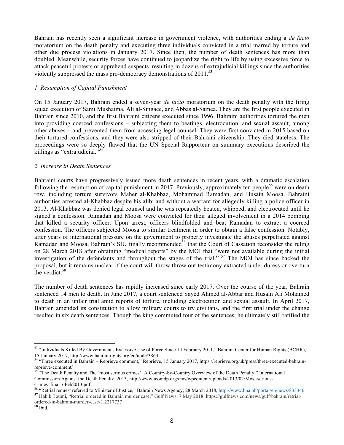Bahrain has recently seen a significant increase in government violence, with authorities ending a *de facto* moratorium on the death penalty and executing three individuals convicted in a trial marred by torture and other due process violations in January 2017. Since then, the number of death sentences has more than doubled. Meanwhile, security forces have continued to jeopardize the right to life by using excessive force to attack peaceful protests or apprehend suspects, resulting in dozens of extrajudicial killings since the authorities violently suppressed the mass pro-democracy demonstrations of  $2011$ .<sup>53</sup>

#### *1. Resumption of Capital Punishment*

On 15 January 2017, Bahrain ended a seven-year *de facto* moratorium on the death penalty with the firing squad execution of Sami Mushaima, Ali al-Singace, and Abbas al-Samea. They are the first people executed in Bahrain since 2010, and the first Bahraini citizens executed since 1996. Bahraini authorities tortured the men into providing coerced confessions – subjecting them to beatings, electrocution, and sexual assault, among other abuses – and prevented them from accessing legal counsel. They were first convicted in 2015 based on their tortured confessions, and they were also stripped of their Bahraini citizenship. They died stateless. The proceedings were so deeply flawed that the UN Special Rapporteur on summary executions described the killings as "extrajudicial." $54$ 

#### *2. Increase in Death Sentences*

Bahraini courts have progressively issued more death sentences in recent years, with a dramatic escalation following the resumption of capital punishment in 2017. Previously, approximately ten people<sup>55</sup> were on death row, including torture survivors Maher al-Khabbaz, Mohammad Ramadan, and Husain Moosa. Bahraini authorities arrested al-Khabbaz despite his alibi and without a warrant for allegedly killing a police officer in 2013. Al-Khabbaz was denied legal counsel and he was repeatedly beaten, whipped, and electrocuted until he signed a confession. Ramadan and Moosa were convicted for their alleged involvement in a 2014 bombing that killed a security officer. Upon arrest, officers blindfolded and beat Ramadan to extract a coerced confession. The officers subjected Moosa to similar treatment in order to obtain a false confession. Notably, after years of international pressure on the government to properly investigate the abuses perpetrated against Ramadan and Moosa, Bahrain's SIU finally recommended<sup>56</sup> that the Court of Cassation reconsider the ruling on 28 March 2018 after obtaining "medical reports" by the MOI that "were not available during the initial investigation of the defendants and throughout the stages of the trial." <sup>57</sup> The MOJ has since backed the proposal, but it remains unclear if the court will throw throw out testimony extracted under duress or overturn the verdict.<sup>58</sup>

The number of death sentences has rapidly increased since early 2017. Over the course of the year, Bahrain sentenced 14 men to death. In June 2017, a court sentenced Sayed Ahmed al-Abbar and Husain Ali Mohamed to death in an unfair trial amid reports of torture, including electrocution and sexual assault. In April 2017, Bahrain amended its constitution to allow military courts to try civilians, and the first trial under the change resulted in six death sentences. Though the king commuted four of the sentences, he ultimately still ratified the

ordered-in-bahrain-murder-case-1.2217737 **<sup>58</sup>** Ibid.

<sup>53 &</sup>quot;Individuals Killed By Government's Excessive Use of Force Since 14 February 2011," Bahrain Center for Human Rights (BCHR),

<sup>15</sup> January 2017, http://www.bahrainrights.org/en/node/3864<br><sup>54</sup> "Three executed in Bahrain – Reprieve comment," Reprieve, 15 January 2017, https://reprieve.org.uk/press/three-executed-bahrain-<br>reprieve-comment/

<sup>&</sup>lt;sup>55 "</sup>The Death Penalty and The 'most serious crimes': A Country-by-Country Overview of the Death Penalty," International Commission Against the Death Penalty, 2013, http://www.icomdp.org/cms/wpcontent/uploads/2013/02/Most-seriouscrimes\_final\_6Feb2013.pdf

<sup>&</sup>lt;sup>56</sup> "Retrial request referred to Minister of Justice," Bahrain News Agency, 28 March 2018, http://www.bna.bh/portal/en/news/833346<br><sup>57</sup> Habib Toumi, "Retrial ordered in Bahrain murder case," Gulf News, 7 May 2018, https:/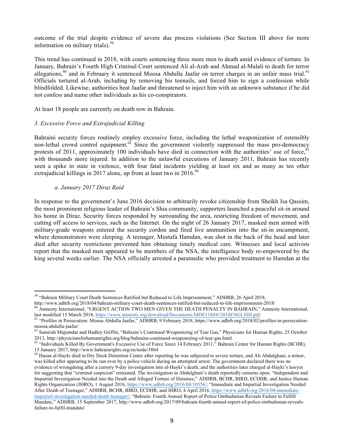outcome of the trial despite evidence of severe due process violations (See Section III above for more information on military trials). 59

This trend has continued in 2018, with courts sentencing three more men to death amid evidence of torture. In January, Bahrain's Fourth High Criminal Court sentenced Ali al-Arab and Ahmad al-Malali to death for terror allegations, $60$  and in February it sentenced Moosa Abdulla Jaafar on terror charges in an unfair mass trial.<sup>61</sup> Officials tortured al-Arab, including by removing his toenails, and forced him to sign a confession while blindfolded. Likewise, authorities beat Jaafar and threatened to inject him with an unknown substance if he did not confess and name other individuals as his co-conspirators.

At least 18 people are currently on death row in Bahrain.

#### *3. Excessive Force and Extrajudicial Killing*

Bahraini security forces routinely employ excessive force, including the lethal weaponization of ostensibly non-lethal crowd control equipment.<sup>62</sup> Since the government violently suppressed the mass pro-democracy protests of 2011, approximately 100 individuals have died in connection with the authorities' use of force,  $63$ with thousands more injured. In addition to the unlawful executions of January 2011, Bahrain has recently seen a spike in state in violence, with four fatal incidents yielding at least six and as many as ten other extrajudicial killings in 2017 alone, up from at least two in  $2016$ .<sup>64</sup>

#### *a. January 2017 Diraz Raid*

In response to the government's June 2016 decision to arbitrarily revoke citizenship from Sheikh Isa Qassim, the most prominent religious leader of Bahrain's Shia community, supporters launched a peaceful sit-in around his home in Diraz. Security forces responded by surrounding the area, restricting freedom of movement, and cutting off access to services, such as the Internet. On the night of 26 January 2017, masked men armed with military-grade weapons entered the security cordon and fired live ammunition into the sit-in encampment, where demonstrators were sleeping. A teenager, Mustafa Hamdan, was shot in the back of the head and later died after security restrictions prevented him obtaining timely medical care. Witnesses and local activists report that the masked men appeared to be members of the NSA, the intelligence body re-empowered by the king several weeks earlier. The NSA officially arrested a paramedic who provided treatment to Hamdan at the

<sup>64</sup> Hasan al-Hayki died in Dry Dock Detention Center after reporting he was subjected to severe torture, and Ali Abdulghani, a minor, was killed after appearing to be run over by a police vehicle during an attempted arrest. The government declared there was no evidence of wrongdoing after a cursory 9-day investigation into al-Hayki's death, and the authorities later charged al-Hayki's lawyer for suggesting that "criminal suspicion" remained. The investigation in Abdulghani's death reportedly remains open. "Independent and Impartial Investigation Needed into the Death and Alleged Torture of Detainee," ADHRB, BCHR, BIRD, ECDHR, and Justice Human Rights Organization (JHRO), 1 August 2016, https://www.adhrb.org/2016/08/10556/; "Immediate and Impartial Investigation Needed After Death of Teenager," ADHRB, BCHR, BIRD, ECDHR, and JHRO, 4 April 2016, https://www.adhrb.org/2016/04/immediateimpartial-investigation-needed-death-teenager/; "Bahrain: Fourth Annual Report of Police Ombudsman Reveals Failure to Fulfill Mandate," ADHRB, 15 September 2017, http://www.adhrb.org/2017/09/bahrain-fourth-annual-report-of-police-ombudsman-revealsfailure-to-fulfil-mandate/

<sup>&</sup>lt;sup>59</sup> "Bahrain Military Court Death Sentences Ratified but Reduced to Life Imprisonment," ADHRB, 26 April 2018,<br>http://www.adhrb.org/2018/04/bahrain-military-court-death-sentences-ratified-but-reduced-to-life-imprisonment-2

 $\frac{60}{2}$  Amnesty International, "URGENT ACTION TWO MEN GIVEN THE DEATH PENALTY IN BAHRAIN," Amnesty International, last modified 15 March 2018, https://www.amnesty.org/download/Documents/MDE1180412018ENGLISH.pdf.

<sup>&</sup>lt;sup>61</sup> "Profiles in Persecution: Moosa Abdulla Jaafar," ADHRB, 9 February 2018, https://www.adhrb.org/2018/02/profiles-in-persecutionmoosa-abdulla-jaafar/<br><sup>62</sup> Samirah Majumdar and Hadley Griffin, "Bahrain's Continued Weaponizing of Tear Gas," Physicians for Human Rights, 25 October

<sup>2013,</sup> http://physiciansforhumanrights.org/blog/bahrains-continued-weaponizing-of-tear-gas.html<br><sup>63</sup> "Individuals Killed By Government's Excessive Use of Force Since 14 February 2011," Bahrain Center for Human Rights (BCHR)

<sup>15</sup> January 2017, http://www.bahrainrights.org/en/node/3864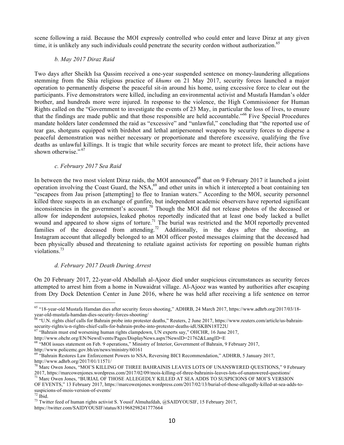scene following a raid. Because the MOI expressly controlled who could enter and leave Diraz at any given time, it is unlikely any such individuals could penetrate the security cordon without authorization.<sup>65</sup>

#### *b. May 2017 Diraz Raid*

Two days after Sheikh Isa Qassim received a one-year suspended sentence on money-laundering allegations stemming from the Shia religious practice of *khums* on 21 May 2017, security forces launched a major operation to permanently disperse the peaceful sit-in around his home, using excessive force to clear out the participants. Five demonstrators were killed, including an environmental activist and Mustafa Hamdan's older brother, and hundreds more were injured. In response to the violence, the High Commissioner for Human Rights called on the "Government to investigate the events of 23 May, in particular the loss of lives, to ensure that the findings are made public and that those responsible are held accountable."<sup>66</sup> Five Special Procedures mandate holders later condemned the raid as "excessive" and "unlawful," concluding that "the reported use of tear gas, shotguns equipped with birdshot and lethal antipersonnel weapons by security forces to disperse a peaceful demonstration was neither necessary or proportionate and therefore excessive, qualifying the five deaths as unlawful killings. It is tragic that while security forces are meant to protect life, their actions have shown otherwise."<sup>67</sup>

#### *c. February 2017 Sea Raid*

In between the two most violent Diraz raids, the MOI announced<sup>68</sup> that on 9 February 2017 it launched a joint operation involving the Coast Guard, the NSA, $^{69}$  and other units in which it intercepted a boat containing ten "escapees from Jau prison [attempting] to flee to Iranian waters." According to the MOI, security personnel killed three suspects in an exchange of gunfire, but independent academic observers have reported significant inconsistencies in the government's account.<sup>70</sup> Though the MOI did not release photos of the deceased or allow for independent autopsies, leaked photos reportedly indicated that at least one body lacked a bullet wound and appeared to show signs of torture.<sup>71</sup> The burial was restricted and the MOI reportedly prevented families of the deceased from attending.<sup>72</sup> Additionally, in the days after the shooting, an Instagram account that allegedly belonged to an MOI officer posted messages claiming that the deceased had been physically abused and threatening to retaliate against activists for reporting on possible human rights violations.73

## *d. February 2017 Death During Arrest*

On 20 February 2017, 22-year-old Abdullah al-Ajooz died under suspicious circumstances as security forces attempted to arrest him from a home in Nuwaidrat village. Al-Ajooz was wanted by authorities after escaping from Dry Dock Detention Center in June 2016, where he was held after receiving a life sentence on terror

<sup>&</sup>lt;sup>65</sup> "18-year-old Mustafa Hamdan dies after security forces shooting," ADHRB, 24 March 2017, https://www.adhrb.org/2017/03/18-<br>year-old-mustafa-hamdan-dies-security-forces-shooting/

<sup>&</sup>lt;sup>66</sup> "U.N. rights chief calls for Bahrain probe into protester deaths," Reuters, 2 June 2017, https://www.reuters.com/article/us-bahrain-security-rights/u-n-rights-chief-calls-for-bahrain-probe-into-protester-deaths-idUSK

 $\frac{67}{67}$  "Bahrain must end worsening human rights clampdown, UN experts say," OHCHR, 16 June 2017,

http://www.ohchr.org/EN/NewsEvents/Pages/DisplayNews.aspx?NewsID=21762&LangID=E

<sup>&</sup>lt;sup>68</sup> "MOI issues statement on Feb. 9 operations," Ministry of Interior, Government of Bahrain, 9 February 2017, http://www.policemc.gov.bh/en/news/ministry/60161

<sup>&</sup>lt;sup>69</sup> "Bahrain Restores Law Enforcement Powers to NSA, Reversing BICI Recommendation," ADHRB, 5 January 2017, http://www.adhrb.org/2017/01/11571/

 $^{70}$  Marc Owen Jones, "MOI'S KILLING OF THREE BAHRAINIS LEAVES LOTS OF UNANSWERED QUESTIONS," 9 February 2017, https://marcowenjones.wordpress.com/2017/02/09/mois-killing-of-three-bahrainis-leaves-lots-of-unanswered-questions/<br><sup>71</sup> Marc Owen Jones, "BURIAL OF THOSE ALLEGEDLY KILLED AT SEA ADDS TO SUSPICIONS OF MOI'S VERSION

OF EVENTS," 13 February 2017, https://marcowenjones.wordpress.com/2017/02/13/burial-of-those-allegedly-killed-at-sea-adds-to-suspicions-of-mois-version-of-events/<br><sup>72</sup> Ibid.

 $33$  Twitter feed of human rights activist S. Yousif Almuhafdah, @SAIDYOUSIF, 15 February 2017, https://twitter.com/SAIDYOUSIF/status/831968298241777664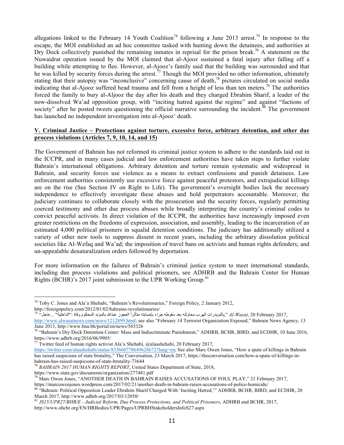allegations linked to the February 14 Youth Coalition<sup>74</sup> following a June 2013 arrest.<sup>75</sup> In response to the escape, the MOI established an ad hoc committee tasked with hunting down the detainees, and authorities at Dry Dock collectively punished the remaining inmates in reprisal for the prison break.<sup>76</sup> A statement on the Nuwaidrat operation issued by the MOI claimed that al-Ajooz sustained a fatal injury after falling off a building while attempting to flee. However, al-Ajooz's family said that the building was surrounded and that he was killed by security forces during the arrest.<sup>77</sup> Though the MOI provided no other information, ultimately stating that their autopsy was "inconclusive" concerning cause of death,<sup>78</sup> pictures circulated on social media indicating that al-Ajooz suffered head trauma and fell from a height of less than ten meters.<sup>79</sup> The authorities forced the family to bury al-Aljooz the day after his death and they charged Ebrahim Sharif, a leader of the now-dissolved Wa'ad opposition group, with "inciting hatred against the regime" and against "factions of society" after he posted tweets questioning the official narrative surrounding the incident.<sup>80</sup> The government has launched no independent investigation into al-Ajooz' death.

## **V. Criminal Justice – Protections against torture, excessive force, arbitrary detention, and other due process violations (Articles 7, 9, 10, 14, and 15)**

The Government of Bahrain has not reformed its criminal justice system to adhere to the standards laid out in the ICCPR, and in many cases judicial and law enforcement authorities have taken steps to further violate Bahrain's international obligations. Arbitrary detention and torture remain systematic and widespread in Bahrain, and security forces use violence as a means to extract confessions and punish detainees. Law enforcement authorities consistently use excessive force against peaceful protestors, and extrajudicial killings are on the rise (See Section IV on Right to Life). The government's oversight bodies lack the necessary independence to effectively investigate these abuses and hold perpetrators accountable. Moreover, the judiciary continues to collaborate closely with the prosecution and the security forces, regularly permitting coerced testimony and other due process abuses while broadly interpreting the country's criminal codes to convict peaceful activists. In direct violation of the ICCPR, the authorities have increasingly imposed even greater restrictions on the freedoms of expression, association, and assembly, leading to the incarceration of an estimated 4,000 political prisoners in squalid detention conditions. The judiciary has additionally utilized a variety of other new tools to suppress dissent in recent years, including the arbitrary dissolution political societies like Al-Wefaq and Wa'ad; the imposition of travel bans on activists and human rights defenders; and un-appealable denaturalization orders followed by deportation.

For more information on the failures of Bahrain's criminal justice system to meet international standards, including due process violations and political prisoners, see ADHRB and the Bahrain Center for Human Rights (BCHR)'s 2017 joint submission to the UPR Working Group.<sup>81</sup>

 $77$  Twitter feed of human rights activist Ala'a Shehabi, @alaashehabi, 20 February 2017,

https://twitter.com/alaashehabi/status/833660778649628672?lang=en; See also Marc Owen Jones, "How a spate of killings in Bahrain has raised suspicions of state brutality," The Conversation, 23 March 2017, https://theconversation.com/how-a-spate-of-killings-inbahrain-has-raised-suspicions-of-state-brutality-73644<br><sup>78</sup> *BAHRAIN 2017 HUMAN RIGHTS REPORT*, United States Department of State, 2018, https://www.state.gov/documents/organization/277481.pdf

<sup>&</sup>lt;sup>74</sup> Toby C. Jones and Ala'a Shehabi, "Bahrain's Revolutionaries," Foreign Policy, 2 January 2012, http://foreignpolicy.com/2012/01/02/bahrains-revolutionaries/

http://foreignpolicy.com/2012/01/02/bahrains-revolutionaries/<br><sup>75 '</sup>Yal-*Wasat*, 20 February 2017, بالنويدرات الهرب محاولته بعد سقوطه جراء بإصابته متأثراً العجوز عبدالله بالمؤبد المحكوم وفاة :"الداخلية" ...عاجل" http://www.alwasatnews.com/news/1212899.html; see also "February 14 Terrorist Organization Exposed," Bahrain News Agency, 13 June 2013, http://www.bna.bh/portal/en/news/565326<br><sup>76</sup> "Bahrain's Dry Dock Detention Center: Mass and Indiscriminate Punishment," ADHRB, BCHR, BIRD, and ECDHR, 10 June 2016,

https://www.adhrb.org/2016/06/9905/

<sup>&</sup>lt;sup>79</sup> Marc Owen Jones, "ANOTHER DEATH IN BAHRAIN RAISES ACCUSATIONS OF FOUL PLAY," 21 February 2017,<br>https://marcowenjones.wordpress.com/2017/02/21/another-death-in-bahrain-raises-accusations-of-police-homicide/

<sup>80 &</sup>quot;Bahrain: Political Opposition Leader Ebrahim Sharif Charged With 'Inciting Hatred," ADHRB, BCHR, BIRD, and ECDHR, 20 March 2017, http://www.adhrb.org/2017/03/12050/

<sup>81</sup> *JS15/UPR27/BHR/E - Judicial Reform, Due Process Protections, and Political Prisoners*, ADHRB and BCHR, 2017, http://www.ohchr.org/EN/HRBodies/UPR/Pages/UPRBHStakeholdersInfoS27.aspx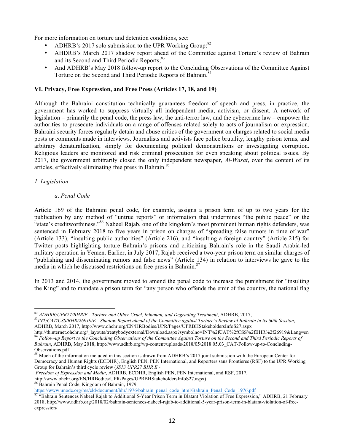For more information on torture and detention conditions, see:

- ADHRB's 2017 solo submission to the UPR Working Group; $^{82}$
- AHDRB's March 2017 shadow report ahead of the Committee against Torture's review of Bahrain and its Second and Third Periodic Reports;<sup>83</sup>
- And ADHRB's May 2018 follow-up report to the Concluding Observations of the Committee Against Torture on the Second and Third Periodic Reports of Bahrain.<sup>84</sup>

## **VI. Privacy, Free Expression, and Free Press (Articles 17, 18, and 19)**

Although the Bahraini constitution technically guarantees freedom of speech and press, in practice, the government has worked to suppress virtually all independent media, activism, or dissent. A network of legislation – primarily the penal code, the press law, the anti-terror law, and the cybercrime law – empower the authorities to prosecute individuals on a range of offenses related solely to acts of journalism or expression. Bahraini security forces regularly detain and abuse critics of the government on charges related to social media posts or comments made in interviews. Journalists and activists face police brutality, lengthy prison terms, and arbitrary denaturalization, simply for documenting political demonstrations or investigating corruption. Religious leaders are monitored and risk criminal prosecution for even speaking about political issues. By 2017, the government arbitrarily closed the only independent newspaper, *Al-Wasat*, over the content of its articles, effectively eliminating free press in Bahrain.<sup>85</sup>

## *1. Legislation*

## *a*. *Penal Code*

Article 169 of the Bahraini penal code, for example, assigns a prison term of up to two years for the publication by any method of "untrue reports" or information that undermines "the public peace" or the "state's creditworthiness."<sup>86</sup> Nabeel Rajab, one of the kingdom's most prominent human rights defenders, was sentenced in February 2018 to five years in prison on charges of "spreading false rumors in time of war" (Article 133), "insulting public authorities" (Article 216), and "insulting a foreign country" (Article 215) for Twitter posts highlighting torture Bahrain's prisons and criticizing Bahrain's role in the Saudi Arabia-led military operation in Yemen. Earlier, in July 2017, Rajab received a two-year prison term on similar charges of "publishing and disseminating rumors and false news" (Article 134) in relation to interviews he gave to the media in which he discussed restrictions on free press in Bahrain. $87$ 

In 2013 and 2014, the government moved to amend the penal code to increase the punishment for "insulting the King" and to mandate a prison term for "any person who offends the emir of the country, the national flag

*Freedom of Expression and Media*, ADHRB, ECDHR, English PEN, PEN International, and RSF, 2017,

<sup>&</sup>lt;sup>82</sup> ADHRB/UPR27/BHR/E - Torture and Other Cruel, Inhuman, and Degrading Treatment, ADHRB, 2017,<br><sup>83</sup>INT/CAT/CSS/BHR/26919/E - Shadow Report ahead of the Committee against Torture's Review of Bahrain in its 60th Session, ADHRB, March 2017, http://www.ohchr.org/EN/HRBodies/UPR/Pages/UPRBHStakeholdersInfoS27.aspx

http://tbinternet.ohchr.org/\_layouts/treatybodyexternal/Download.aspx?symbolno=INT%2fCAT%2fCSS%2fBHR%2f26919&Lang=en<br><sup>84</sup> Follow-up Report to the Concluding Observations of the Committee Against Torture on the Second and T *Bahrain*, ADHRB, May 2018, http://www.adhrb.org/wp-content/uploads/2018/05/2018.05.03\_CAT-Follow-up-to-Concluding-

Observations.pdf<br><sup>85</sup> Much of the information included in this section is drawn from ADHRB's 2017 joint submission with the European Center for Democracy and Human Rights (ECDHR), English PEN, PEN International, and Reporters sans Frontieres (RSF) to the UPR Working Group for Bahrain's third cycle review (*JS13 UPR27 BHR E -*

http://www.ohchr.org/EN/HRBodies/UPR/Pages/UPRBHStakeholdersInfoS27.aspx)

<sup>86</sup> Bahrain Penal Code, Kingdom of Bahrain, 1979,

https://www.unodc.org/res/cld/document/bhr/1976/bahrain penal code html/Bahrain Penal Code 1976.pdf<br><sup>87</sup> "Bahrain Sentences Nabeel Rajab to Additional 5-Year Prison Term in Blatant Violation of Free Expression," ADHRB, 21

<sup>2018,</sup> http://www.adhrb.org/2018/02/bahrain-sentences-nabeel-rajab-to-additional-5-year-prison-term-in-blatant-violation-of-freeexpression/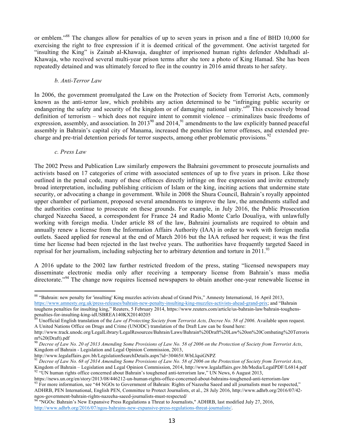or emblem."<sup>88</sup> The changes allow for penalties of up to seven years in prison and a fine of BHD 10,000 for exercising the right to free expression if it is deemed critical of the government. One activist targeted for "insulting the King" is Zainab al-Khawaja, daughter of imprisoned human rights defender Abdulhadi al-Khawaja, who received several multi-year prison terms after she tore a photo of King Hamad. She has been repeatedly detained and was ultimately forced to flee in the country in 2016 amid threats to her safety.

#### *b. Anti-Terror Law*

In 2006, the government promulgated the Law on the Protection of Society from Terrorist Acts, commonly known as the anti-terror law, which prohibits any action determined to be "infringing public security or endangering the safety and security of the kingdom or of damaging national unity."<sup>89</sup> This excessively broad definition of terrorism – which does not require intent to commit violence – criminalizes basic freedoms of expression, assembly, and association. In  $2013^{90}$  and  $2014$ ,  $91$  amendments to the law explicitly banned peaceful assembly in Bahrain's capital city of Manama, increased the penalties for terror offenses, and extended precharge and pre-trial detention periods for terror suspects, among other problematic provisions.<sup>92</sup>

#### *c. Press Law*

The 2002 Press and Publication Law similarly empowers the Bahraini government to prosecute journalists and activists based on 17 categories of crime with associated sentences of up to five years in prison. Like those outlined in the penal code, many of these offences directly infringe on free expression and invite extremely broad interpretation, including publishing criticism of Islam or the king, inciting actions that undermine state security, or advocating a change in government. While in 2008 the Shura Council, Bahrain's royally appointed upper chamber of parliament, proposed several amendments to improve the law, the amendments stalled and the authorities continue to prosecute on these grounds. For example, in July 2016, the Public Prosecution charged Nazeeha Saeed, a correspondent for France 24 and Radio Monte Carlo Doualiya, with unlawfully working with foreign media. Under article 88 of the law, Bahraini journalists are required to obtain and annually renew a license from the Information Affairs Authority (IAA) in order to work with foreign media outlets. Saeed applied for renewal at the end of March 2016 but the IAA refused her request; it was the first time her license had been rejected in the last twelve years. The authorities have frequently targeted Saeed in reprisal for her journalism, including subjecting her to arbitrary detention and torture in  $2011$ .<sup>93</sup>

A 2016 update to the 2002 law further restricted freedom of the press, stating "licensed newspapers may disseminate electronic media only after receiving a temporary license from Bahrain's mass media directorate."<sup>94</sup> The change now requires licensed newspapers to obtain another one-year renewable license in

http://www.legalaffairs.gov.bh/LegislationSearchDetails.aspx?id=30465#.WbLlqsiGNPZ

<sup>88 &</sup>quot;Bahrain: new penalty for 'insulting' King muzzles activists ahead of Grand Prix," Amnesty International, 16 April 2013, https://www.amnesty.org.uk/press-releases/bahrain-new-penalty-insulting-king-muzzles-activists-ahead-grand-prix; and "Bahrain toughens penalties for insulting king," Reuters, 5 February 2014, https://www.reuters.com/article/us-bahrain-law/bahrain-toughens-<br>penalties-for-insulting-king-idUSBREA140KX20140205

Unofficial English translation of the *Law of Protecting Society from Terrorist Acts, Decree No. 58 of 2006*. Available upon request. A United Nations Office on Drugs and Crime (UNODC) translation of the Draft Law can be found here:

http://www.track.unodc.org/LegalLibrary/LegalResources/Bahrain/Laws/Bahrain%20Draft%20Law%20on%20Combating%20Terroris m%20(Draft).pdf

<sup>90</sup> *Decree of Law No. 20 of 2013 Amending Some Provisions of Law No. 58 of 2006 on the Protection of Society from Terrorist Acts*, Kingdom of Bahrain - Legislation and Legal Opinion Commission, 2013,

<sup>91</sup> *Decree of Law No. 68 of 2014 Amending Some Provisions of Law No. 58 of 2006 on the Protection of Society from Terrorist Acts*, Kingdom of Bahrain – Legislation and Legal Opinion Commission, 2014, http://www.legalaffairs.gov.bh/Media/LegalPDF/L6814.pdf 92 "UN human rights office concerned about Bahrain's toughened anti-terrorism law," UN News, 6 Au

https://news.un.org/en/story/2013/08/446212-un-human-rights-office-concerned-about-bahrains-toughened-anti-terrorism-law<br><sup>93</sup> For more information, see "44 NGOs to Government of Bahrain: Rights of Nazeeha Saeed and all jou

ADHRB, PEN International, English PEN, Committee to Protect Journalists, et al., 28 July 2016, http://www.adhrb.org/2016/07/42 ngos-government-bahrain-rights-nazeeha-saeed-journalists-must-respected/<br><sup>94</sup> "NGOs: Bahrain's New Expansive Press Regulations a Threat to Journalists," ADHRB, last modified July 27, 2016,

http://www.adhrb.org/2016/07/ngos-bahrains-new-expansive-press-regulations-threat-journalists/.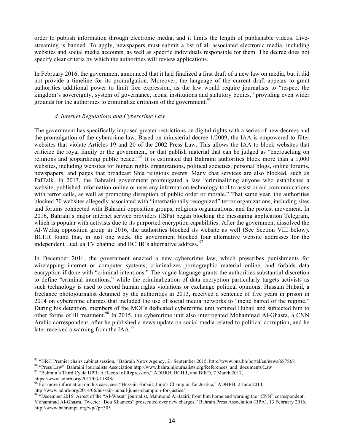order to publish information through electronic media, and it limits the length of publishable videos. Livestreaming is banned. To apply, newspapers must submit a list of all associated electronic media, including websites and social media accounts, as well as specific individuals responsible for them. The decree does not specify clear criteria by which the authorities will review applications.

In February 2016, the government announced that it had finalized a first draft of a new law on media, but it did not provide a timeline for its promulgation. Moreover, the language of the current draft appears to grant authorities additional power to limit free expression, as the law would require journalists to "respect the kingdom's sovereignty, system of governance, icons, institutions and statutory bodies," providing even wider grounds for the authorities to criminalize criticism of the government.<sup>95</sup>

#### *d. Internet Regulations and Cybercrime Law*

The government has specifically imposed greater restrictions on digital rights with a series of new decrees and the promulgation of the cybercrime law. Based on ministerial decree 1/2009, the IAA is empowered to filter websites that violate Articles 19 and 20 of the 2002 Press Law. This allows the IAA to block websites that criticize the royal family or the government, or that publish material that can be judged as "encroaching on religions and jeopardizing public peace."<sup>96</sup> It is estimated that Bahraini authorities block more than a 1,000 websites, including websites for human rights organizations, political societies, personal blogs, online forums, newspapers, and pages that broadcast Shia religious events. Many chat services are also blocked, such as PalTalk. In 2013, the Bahraini government promulgated a law "criminalizing anyone who establishes a website, published information online or uses any information technology tool to assist or aid communications with terror cells, as well as promoting disruption of public order or morale." That same year, the authorities blocked 70 websites allegedly associated with "internationally recognized" terror organizations, including sites and forums connected with Bahraini opposition groups, religious organizations, and the protest movement. In 2016, Bahrain's major internet service providers (ISPs) began blocking the messaging application Telegram, which is popular with activists due to its purported encryption capabilities. After the government dissolved the Al-Wefaq opposition group in 2016, the authorities blocked its website as well (See Section VIII below). BCHR found that, in just one week, the government blocked four alternative website addresses for the independent LuaLua TV channel and BCHR's alternative address.<sup>97</sup>

In December 2014, the government enacted a new cybercrime law, which prescribes punishments for wiretapping internet or computer systems, criminalizes pornographic material online, and forbids data encryption if done with "criminal intentions." The vague language grants the authorities substantial discretion to define "criminal intentions," while the criminalization of data encryption particularly targets activists as such technology is used to record human rights violations or exchange political opinions. Hussain Hubail, a freelance photojournalist detained by the authorities in 2013, received a sentence of five years in prison in 2014 on cybercrime charges that included the use of social media networks to "incite hatred of the regime." During his detention, members of the MOI's dedicated cybercrime unit tortured Hubail and subjected him to other forms of ill treatment.<sup>98</sup> In 2015, the cybercrime unit also interrogated Mohammad Al-Ghasra, a CNN Arabic correspondent, after he published a news update on social media related to political corruption, and he later received a warning from the IAA.<sup>99</sup>

<sup>&</sup>lt;sup>95</sup> "HRH Premier chairs cabinet session," Bahrain News Agency, 21 September 2015, http://www.bna.bh/portal/en/news/687868<br><sup>96</sup> "Press Law". Bahraini Journalists Association http://www.bahrainijournalists.org/References\_a

https://www.adhrb.org/2017/03/11848/

<sup>&</sup>lt;sup>98</sup> For more information on this case, see: "Hussain Hubail: June's Champion for Justice," ADHRB, 2 June 2014, http://www.adhrb.org/2014/06/hussain-hubail-junes-champion-for-justice/<br><sup>99</sup> "December 2015: Arrest of the "Al-Wasat" journalist, Mahmoud Al-Jaziri, from him home and warning the "CNN" correspondent,

Mohammad Al-Ghasra. Tweeter "Bou Khamees" prosecuted over new charges," Bahrain Press Association (BPA), 13 February 2016, http://www.bahrainpa.org/wp/?p=305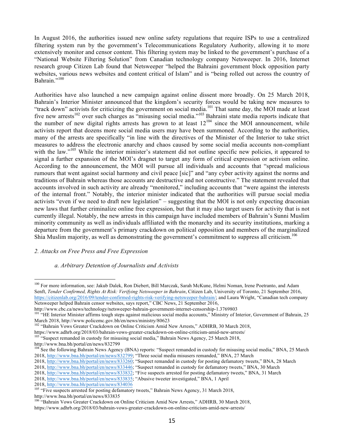In August 2016, the authorities issued new online safety regulations that require ISPs to use a centralized filtering system run by the government's Telecommunications Regulatory Authority, allowing it to more extensively monitor and censor content. This filtering system may be linked to the government's purchase of a "National Website Filtering Solution" from Canadian technology company Netsweeper. In 2016, Internet research group Citizen Lab found that Netsweeper "helped the Bahraini government block opposition party websites, various news websites and content critical of Islam" and is "being rolled out across the country of Bahrain."100

Authorities have also launched a new campaign against online dissent more broadly. On 25 March 2018, Bahrain's Interior Minister announced that the kingdom's security forces would be taking new measures to "track down" activists for criticizing the government on social media.<sup>101</sup> That same day, the MOI made at least five new arrests<sup>102</sup> over such charges as "misusing social media."<sup>103</sup> Bahraini state media reports indicate that the number of new digital rights arrests has grown to at least  $12^{104}$  since the MOI announcement, while activists report that dozens more social media users may have been summoned. According to the authorities, many of the arrests are specifically "in line with the directives of the Minister of the Interior to take strict measures to address the electronic anarchy and chaos caused by some social media accounts non-compliant with the law."<sup>105</sup> While the interior minister's statement did not outline specific new policies, it appeared to signal a further expansion of the MOI's dragnet to target any form of critical expression or activism online. According to the announcement, the MOI will pursue all individuals and accounts that "spread malicious rumours that went against social harmony and civil peace [sic]" and "any cyber activity against the norms and traditions of Bahrain whereas those accounts are destructive and not constructive." The statement revealed that accounts involved in such activity are already "monitored," including accounts that "were against the interests of the internal front." Notably, the interior minister indicated that the authorities will pursue social media activists "even if we need to draft new legislation" – suggesting that the MOI is not only expecting draconian new laws that further criminalize online free expression, but that it may also target users for activity that is not currently illegal. Notably, the new arrests in this campaign have included members of Bahrain's Sunni Muslim minority community as well as individuals affiliated with the monarchy and its security institutions, marking a departure from the government's primary crackdown on political opposition and members of the marginalized Shia Muslim majority, as well as demonstrating the government's commitment to suppress all criticism.<sup>106</sup>

## *2. Attacks on Free Press and Free Expression*

## *a. Arbitrary Detention of Journalists and Activists*

http://www.bna.bh/portal/en/news/833835

<sup>&</sup>lt;sup>100</sup> For more information, see: Jakub Dalek, Ron Diebert, Bill Marczak, Sarah McKune, Helmi Noman, Irene Poetranto, and Adam Senft, *Tender Confirmed, Rights At Risk: Verifying Netsweeper in Bahrain*, Citizen Lab, University of Toronto, 21 September 2016, https://citizenlab.org/2016/09/tender-confirmed-rights-risk-verifying-netsweeper-bahrain/; and Laura Wright, "Canadian tech company Netsweeper helped Bahrain censor websites, says report," CBC News, 21 September 2016,

http://www.cbc.ca/news/technology/netsweeper-bahrain-government-internet-censorship-1.3769803<br><sup>101</sup> "HE Interior Minister affirms tough steps against malicious social media accounts," Ministry of Interior, Government of Ba

March 2018, http://www.policemc.gov.bh/en/news/ministry/80623<br><sup>102</sup> "Bahrain Vows Greater Crackdown on Online Criticism Amid New Arrests," ADHRB, 30 March 2018,

https://www.adhrb.org/2018/03/bahrain-vows-greater-crackdown-on-online-criticism-amid-new-arrests/ <sup>103</sup> "Suspect remanded in custody for misusing social media," Bahrain News Agency, 25 March 2018,

http://www.bna.bh/portal/en/news/832799

<sup>&</sup>lt;sup>104</sup> See the following Bahrain News Agency (BNA) reports: "Suspect remanded in custody for misusing social media," BNA, 25 March 2018, http://www.bna.bh/portal/en/news/832799; "Three social media misusers remanded," BNA, 27 March

<sup>2018,</sup> http://www.bna.bh/portal/en/news/833260; "Suspect remanded in custody for posting defamatory tweets," BNA, 28 March

<sup>2018,</sup> http://www.bna.bh/portal/en/news/833446; "Suspect remanded in custody for defamatory tweets," BNA, 30 March

<sup>2018,</sup> http://www.bna.bh/portal/en/news/833832; "Five suspects arrested for posting defamatory tweets," BNA, 31 March

<sup>2018,</sup> http://www.bna.bh/portal/en/news/833835; "Abusive tweeter investigated," BNA, 1 April<br>2018, http://www.bna.bh/portal/en/news/834036

<sup>&</sup>lt;sup>105</sup> "Five suspects arrested for posting defamatory tweets," Bahrain News Agency, 31 March 2018,

<sup>&</sup>lt;sup>106</sup> "Bahrain Vows Greater Crackdown on Online Criticism Amid New Arrests," ADHRB, 30 March 2018, https://www.adhrb.org/2018/03/bahrain-vows-greater-crackdown-on-online-criticism-amid-new-arrests/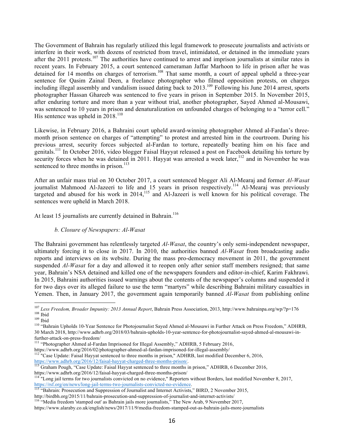The Government of Bahrain has regularly utilized this legal framework to prosecute journalists and activists or interfere in their work, with dozens of restricted from travel, intimidated, or detained in the immediate years after the 2011 protests.<sup>107</sup> The authorities have continued to arrest and imprison journalists at similar rates in recent years. In February 2015, a court sentenced cameraman Jaffar Marhoon to life in prison after he was detained for 14 months on charges of terrorism.<sup>108</sup> That same month, a court of appeal upheld a three-year sentence for Qasim Zainal Deen, a freelance photographer who filmed opposition protests, on charges including illegal assembly and vandalism issued dating back to 2013.<sup>109</sup> Following his June 2014 arrest, sports photographer Hassan Ghareeb was sentenced to five years in prison in September 2015. In November 2015, after enduring torture and more than a year without trial, another photographer, Sayed Ahmed al-Mousawi, was sentenced to 10 years in prison and denaturalization on unfounded charges of belonging to a "terror cell." His sentence was upheld in  $2018$ .<sup>110</sup>

Likewise, in February 2016, a Bahraini court upheld award-winning photographer Ahmed al-Fardan's threemonth prison sentence on charges of "attempting" to protest and arrested him in the courtroom. During his previous arrest, security forces subjected al-Fardan to torture, repeatedly beating him on his face and genitals.<sup>111</sup> In October 2016, video blogger Faisal Hayyat released a post on Facebook detailing his torture by security forces when he was detained in 2011. Hayyat was arrested a week later,  $12$  and in November he was sentenced to three months in prison.<sup>113</sup>

After an unfair mass trial on 30 October 2017, a court sentenced blogger Ali Al-Mearaj and former *Al-Wasat* journalist Mahmood Al-Jazeeri to life and 15 years in prison respectively.<sup>114</sup> Al-Mearaj was previously targeted and abused for his work in  $2014$ ,<sup>115</sup> and Al-Jazeeri is well known for his political coverage. The sentences were upheld in March 2018.

At least 15 journalists are currently detained in Bahrain.<sup>116</sup>

#### *b. Closure of Newspapers: Al-Wasat*

The Bahraini government has relentlessly targeted *Al-Wasat*, the country's only semi-independent newspaper, ultimately forcing it to close in 2017. In 2010, the authorities banned *Al-Wasat* from broadcasting audio reports and interviews on its website. During the mass pro-democracy movement in 2011, the government suspended *Al-Wasat* for a day and allowed it to reopen only after senior staff members resigned; that same year, Bahrain's NSA detained and killed one of the newspapers founders and editor-in-chief, Karim Fakhrawi. In 2015, Bahraini authorities issued warnings about the contents of the newspaper's columns and suspended it for two days over its alleged failure to use the term "martyrs" while describing Bahraini military casualties in Yemen. Then, in January 2017, the government again temporarily banned *Al-Wasat* from publishing online

30 March 2018, http://www.adhrb.org/2018/03/bahrain-upholds-10-year-sentence-for-photojournalist-sayed-ahmed-al-mousawi-in-

- further-attack-on-press-freedom/<br><sup>111</sup> "Photographer Ahmed al-Fardan Imprisoned for Illegal Assembly," ADHRB, 5 February 2016,
- 
- https://www.adhrb.org/2016/02/photographer-ahmed-al-fardan-imprisoned-for-illegal-assembly/<br><sup>112</sup> "Case Update: Faisal Hayyat sentenced to three months in prison," ADHRB, last modified December 6, 2016,
- https://www.adhrb.org/2016/12/faisal-hayyat-charged-three-months-prison/.<br>
<sup>113</sup> Graham Pough, "Case Update: Faisal Hayyat sentenced to three months in prison," ADHRB, 6 December 2016,<br>
https://www.adhrb.org/2016/12/faisal

https://rsf.org/en-no-evidence. 115 "Bahrain: Prosecution and Suppression of Journalist and Internet Activists," BIRD, 2 November 2015,

http://birdbh.org/2015/11/bahrain-prosecution-and-suppression-of-journalist-and-internet-activists/<br><sup>116</sup> "Media freedom 'stamped out' as Bahrain jails more journalists," The New Arab, 9 November 2017,

<sup>&</sup>lt;sup>107</sup> Less Freedom, Broader Impunity: 2013 Annual Report, Bahrain Press Association, 2013, http://www.bahrainpa.org/wp/?p=176<br><sup>108</sup> Ibid<br><sup>109</sup> Ibid<br><sup>109</sup> Bahrain Upholds 10-Year Sentence for Photojournalist Sayed Ahmed al

<sup>&</sup>lt;sup>114 "</sup>Long jail terms for two journalists convicted on no evidence," Reporters without Borders, last modified November 8, 2017, https://rsf.org/en/news/long-jail-terms-two-journalists-convicted-no-evidence.

https://www.alaraby.co.uk/english/news/2017/11/9/media-freedom-stamped-out-as-bahrain-jails-more-journalists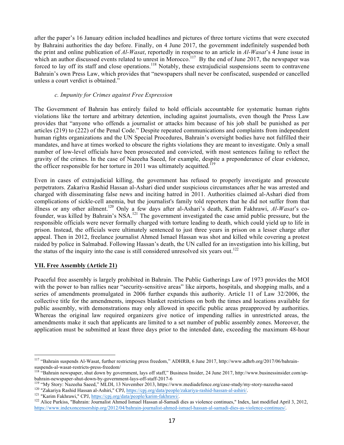after the paper's 16 January edition included headlines and pictures of three torture victims that were executed by Bahraini authorities the day before. Finally, on 4 June 2017, the government indefinitely suspended both the print and online publication of *Al-Wasat*, reportedly in response to an article in *Al-Wasat*'s 4 June issue in which an author discussed events related to unrest in Morocco.<sup>117</sup> By the end of June 2017, the newspaper was forced to lay off its staff and close operations.<sup>118</sup> Notably, these extrajudicial suspensions seem to contravene Bahrain's own Press Law, which provides that "newspapers shall never be confiscated, suspended or cancelled unless a court verdict is obtained."

#### *c. Impunity for Crimes against Free Expression*

The Government of Bahrain has entirely failed to hold officials accountable for systematic human rights violations like the torture and arbitrary detention, including against journalists, even though the Press Law provides that "anyone who offends a journalist or attacks him because of his job shall be punished as per articles (219) to (222) of the Penal Code." Despite repeated communications and complaints from independent human rights organizations and the UN Special Procedures, Bahrain's oversight bodies have not fulfilled their mandates, and have at times worked to obscure the rights violations they are meant to investigate. Only a small number of low-level officials have been prosecuted and convicted, with most sentences failing to reflect the gravity of the crimes. In the case of Nazeeha Saeed, for example, despite a preponderance of clear evidence, the officer responsible for her torture in 2011 was ultimately acquitted.<sup>119</sup>

Even in cases of extrajudicial killing, the government has refused to properly investigate and prosecute perpetrators. Zakariva Rashid Hassan al-Ashari died under suspicious circumstances after he was arrested and charged with disseminating false news and inciting hatred in 2011. Authorities claimed al-Ashari died from complications of sickle-cell anemia, but the journalist's family told reporters that he did not suffer from that illness or any other ailment.<sup>120</sup> Only a few days after al-Ashari's death, Karim Fakhrawi, *Al-Wasat*'s cofounder, was killed by Bahrain's NSA.<sup>121</sup> The government investigated the case amid public pressure, but the responsible officials were never formally charged with torture leading to death, which could yield up to life in prison. Instead, the officials were ultimately sentenced to just three years in prison on a lesser charge after appeal. Then in 2012, freelance journalist Ahmed Ismael Hassan was shot and killed while covering a protest raided by police in Salmabad. Following Hassan's death, the UN called for an investigation into his killing, but the status of the inquiry into the case is still considered unresolved six years out.<sup>122</sup>

## **VII. Free Assembly (Article 21)**

Peaceful free assembly is largely prohibited in Bahrain. The Public Gatherings Law of 1973 provides the MOI with the power to ban rallies near "security-sensitive areas" like airports, hospitals, and shopping malls, and a series of amendments promulgated in 2006 further expands this authority. Article 11 of Law 32/2006, the collective title for the amendments, imposes blanket restrictions on both the times and locations available for public assembly, with demonstrations may only allowed in specific public areas preapproved by authorities. Whereas the original law required organizers give notice of impending rallies in unrestricted areas, the amendments make it such that applicants are limited to a set number of public assembly zones. Moreover, the application must be submitted at least three days prior to the intended date, exceeding the maximum 48-hour

<sup>&</sup>lt;sup>117</sup> "Bahrain suspends Al-Wasat, further restricting press freedom," ADHRB, 6 June 2017, http://www.adhrb.org/2017/06/bahrain-suspends-al-wasat-restricts-press-freedom/

<sup>&</sup>lt;sup>118</sup> "Bahrain newspaper, shut down by government, lays off staff," Business Insider, 24 June 2017, http://www.businessinsider.com/ap-

bahrain-newspaper-shut-down-by-government-lays-off-staff-2017-6<br>
<sup>119</sup> "My Story: Nazeeha Saeed," MLDI, 13 November 2013, https://www.mediadefence.org/case-study/my-story-nazeeha-saeed<br>
<sup>120</sup> "Zakariya Rashid Hassan al-Ash

https://www.indexoncensorship.org/2012/04/bahrain-journalist-ahmed-ismael-hassan-al-samadi-dies-as-violence-continues/.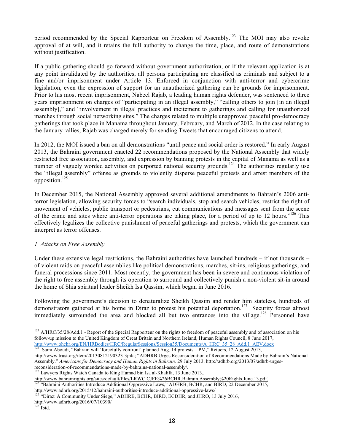period recommended by the Special Rapporteur on Freedom of Assembly.<sup>123</sup> The MOI may also revoke approval of at will, and it retains the full authority to change the time, place, and route of demonstrations without justification.

If a public gathering should go forward without government authorization, or if the relevant application is at any point invalidated by the authorities, all persons participating are classified as criminals and subject to a fine and/or imprisonment under Article 13. Enforced in conjunction with anti-terror and cybercrime legislation, even the expression of support for an unauthorized gathering can be grounds for imprisonment. Prior to his most recent imprisonment, Nabeel Rajab, a leading human rights defender, was sentenced to three years imprisonment on charges of "participating in an illegal assembly," "calling others to join [in an illegal assembly]," and "involvement in illegal practices and incitement to gatherings and calling for unauthorized marches through social networking sites." The charges related to multiple unapproved peaceful pro-democracy gatherings that took place in Manama throughout January, February, and March of 2012. In the case relating to the January rallies, Rajab was charged merely for sending Tweets that encouraged citizens to attend.

In 2012, the MOI issued a ban on all demonstrations "until peace and social order is restored." In early August 2013, the Bahraini government enacted 22 recommendations proposed by the National Assembly that widely restricted free association, assembly, and expression by banning protests in the capital of Manama as well as a number of vaguely worded activities on purported national security grounds.<sup>124</sup> The authorities regularly use the "illegal assembly" offense as grounds to violently disperse peaceful protests and arrest members of the opposition.<sup>125</sup>

In December 2015, the National Assembly approved several additional amendments to Bahrain's 2006 antiterror legislation, allowing security forces to "search individuals, stop and search vehicles, restrict the right of movement of vehicles, public transport or pedestrians, cut communications and messages sent from the scene of the crime and sites where anti-terror operations are taking place, for a period of up to 12 hours."<sup>126</sup> This effectively legalizes the collective punishment of peaceful gatherings and protests, which the government can interpret as terror offenses.

## *1. Attacks on Free Assembly*

Under these extensive legal restrictions, the Bahraini authorities have launched hundreds – if not thousands – of violent raids on peaceful assemblies like political demonstrations, marches, sit-ins, religious gatherings, and funeral processions since 2011. Most recently, the government has been in severe and continuous violation of the right to free assembly through its operation to surround and collectively punish a non-violent sit-in around the home of Shia spiritual leader Sheikh Isa Qassim, which began in June 2016.

Following the government's decision to denaturalize Sheikh Qassim and render him stateless, hundreds of demonstrators gathered at his home in Diraz to protest his potential deportation.<sup>127</sup> Security forces almost immediately surrounded the area and blocked all but two entrances into the village.<sup>128</sup> Personnel have

http://www.bahrainrights.org/sites/default/files/LRWC.CJFE%26BCHR.Bahrain.Assembly%20Rights.June.13.pdf. <sup>126</sup> "Bahraini Authorities Introduce Additional Oppressive Laws," ADHRB, BCHR, and BIRD, 22 December 2015,

<sup>&</sup>lt;sup>123</sup> A/HRC/35/28/Add.1 - Report of the Special Rapporteur on the rights to freedom of peaceful assembly and of association on his follow-up mission to the United Kingdom of Great Britain and Northern Ireland, Human Rights Council, 8 June 2017, http://www.ohchr.org/EN/HRBodies/HRC/RegularSessions/Session35/Documents/A\_HRC\_35\_28\_Add.1\_AEV.docx

<sup>&</sup>lt;sup>124</sup> Sami Aboudi, "Bahrain will 'forcefully confront' planned Aug. 14 protests – PM," Retuers, 12 August 2013, http://www.trust.org/item/20130812190323-3jnla; "ADHRB Urges Reconsideration of Recommendations Made by Bahrain's National Assembly." *Americans for Democracy and Human Rights in Bahrain.* 29 July 2013. http://adhrb.org/2013/07/adhrb-urgesreconsideration-of-recommendations-made-by-bahrains-national-assembly/.<br><sup>125</sup> Lawyers Rights Watch Canada to King Hamad bin Isa al-Khalifa, 13 June 2013.,

http://www.adhrb.org/2015/12/bahraini-authorities-introduce-additional-oppressive-laws/ <sup>127</sup> "Diraz: A Community Under Siege," ADHRB, BCHR, BIRD, ECDHR, and JHRO, 13 July 2016,

http://www.adhrb.org/2016/07/10390/

 $128$  Ibid.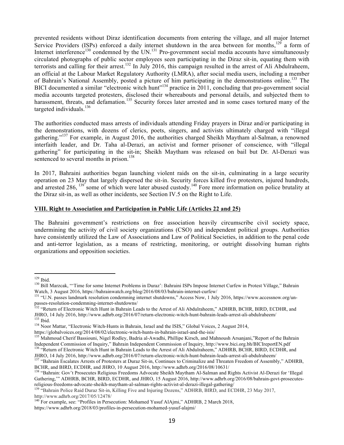prevented residents without Diraz identification documents from entering the village, and all major Internet Service Providers (ISPs) enforced a daily internet shutdown in the area between for months,  $129$  a form of Internet interference<sup>130</sup> condemned by the UN.<sup>131</sup> Pro-government social media accounts have simultaneously circulated photographs of public sector employees seen participating in the Diraz sit-in, equating them with terrorists and calling for their arrest.<sup>132</sup> In July 2016, this campaign resulted in the arrest of Ali Abdulraheem, an official at the Labour Market Regulatory Authority (LMRA), after social media users, including a member of Bahrain's National Assembly, posted a picture of him participating in the demonstrations online.<sup>133</sup> The BICI documented a similar "electronic witch hunt"<sup>134</sup> practice in 2011, concluding that pro-government social media accounts targeted protesters, disclosed their whereabouts and personal details, and subjected them to harassment, threats, and defamation.<sup>135</sup> Security forces later arrested and in some cases tortured many of the targeted individuals.<sup>136</sup>

The authorities conducted mass arrests of individuals attending Friday prayers in Diraz and/or participating in the demonstrations, with dozens of clerics, poets, singers, and activists ultimately charged with "illegal gathering."<sup>137</sup> For example, in August 2016, the authorities charged Sheikh Maytham al-Salman, a renowned interfaith leader, and Dr. Taha al-Derazi, an activist and former prisoner of conscience, with "illegal gathering" for participating in the sit-in; Sheikh Maytham was released on bail but Dr. Al-Derazi was sentenced to several months in prison.<sup>138</sup>

In 2017, Bahraini authorities began launching violent raids on the sit-in, culminating in a large security operation on 23 May that largely dispersed the sit-in. Security forces killed five protesters, injured hundreds, and arrested 286,<sup>139</sup> some of which were later abused custody.<sup>140</sup> Fore more information on police brutality at the Diraz sit-in, as well as other incidents, see Section IV.5 on the Right to Life.

#### **VIII. Right to Association and Participation in Public Life (Articles 22 and 25)**

The Bahraini government's restrictions on free association heavily circumscribe civil society space, undermining the activity of civil society organizations (CSO) and independent political groups. Authorities have consistently utilized the Law of Associations and Law of Political Societies, in addition to the penal code and anti-terror legislation, as a means of restricting, monitoring, or outright dissolving human rights organizations and opposition societies.

<sup>&</sup>lt;sup>129</sup> Ibid.<br><sup>130</sup> Bill Marzcak, "Time for some Internet Problems in Duraz': Bahraini ISPs Impose Internet Curfew in Protest Village," Bahrain Watch, 3 August 2016, https://bahrainwatch.org/blog/2016/08/03/bahrain-internet-curfew/<br><sup>131</sup> "U.N. passes landmark resolution condemning internet shutdowns," Access Now, 1 July 2016, https://www.accessnow.org/un-

passes-resolution-condemning-internet-shutdowns/<br>
<sup>132</sup> "Return of Electronic Witch Hunt in Bahrain Leads to the Arrest of Ali Abdulraheem," ADHRB, BCHR, BIRD, ECDHR, and<br>
JHRO, 14 July 2016, http://www.adhrb.org/2016/07/r

<sup>&</sup>lt;sup>133</sup> Ibid.<br><sup>134</sup> Noor Mattar, "Electronic Witch-Hunts in Bahrain, Israel and the ISIS," Global Voices, 2 August 2014,

https://globalvoices.org/2014/08/02/electronic-witch-hunts-in-bahrain-israel-and-the-isis/<br><sup>135</sup> Mahmoud Cherif Bassiouni, Nigel Rodley, Badria al-Awadhi, Phillipe Kirsch, and Mahnoush Arsanjani,"Report of the Bahrain<br>Inde 136 "Return of Electronic Witch Hunt in Bahrain Leads to the Arrest of Ali Abdulraheem," ADHRB, BCHR, BIRD, ECDHR, and

JHRO, 14 July 2016, http://www.adhrb.org/2016/07/return-electronic-witch-hunt-bahrain-leads-arrest-ali-abdulraheem/<br><sup>137</sup> "Bahrain Escalates Arrests of Protesters at Duraz Sit-in, Continues to Criminalize and Threaten Free

BCHR, and BIRD, ECDHR, and JHRO, 10 August 2016, http://www.adhrb.org/2016/08/10631/<br><sup>138</sup> "Bahrain: Gov't Prosecutes Religious Freedoms Advocate Sheikh Maytham Al-Salman and Rights Activist Al-Derazi for 'Illegal

Gathering," ADHRB, BCHR, BIRD, ECDHR, and JHRO, 15 August 2016, http://www.adhrb.org/2016/08/bahrain-govt-prosecutes-<br>religious-freedoms-advocate-sheikh-maytham-al-salman-rights-activist-al-derazi-illegal-gathering/

religious-freedoms-advocate-sheikh-maytham-al-derazi-in-derazi-in-derazi-illegal-gathering-police Raid-gathering-<br><sup>139</sup> "Bahrain Police Raid Duraz Sit-in, Killing Five and Injuring Dozens," ADHRB, BIRD, and ECDHR, 23 May 2 http://www.adhrb.org/2017/05/12478/

<sup>&</sup>lt;sup>140</sup> For example, see: "Profiles in Persecution: Mohamed Yusuf AlAjmi," ADHRB, 2 March 2018,

https://www.adhrb.org/2018/03/profiles-in-persecution-mohamed-yusuf-alajmi/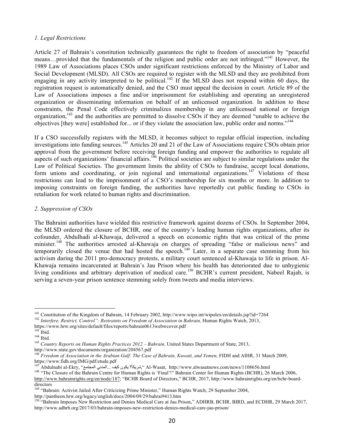#### *1. Legal Restrictions*

Article 27 of Bahrain's constitution technically guarantees the right to freedom of association by "peaceful means...provided that the fundamentals of the religion and public order are not infringed."<sup>141</sup> However, the 1989 Law of Associations places CSOs under significant restrictions enforced by the Ministry of Labor and Social Development (MLSD). All CSOs are required to register with the MLSD and they are prohibited from engaging in any activity interpreted to be political.<sup>142</sup> If the MLSD does not respond within 60 days, the registration request is automatically denied, and the CSO must appeal the decision in court. Article 89 of the Law of Associations imposes a fine and/or imprisonment for establishing and operating an unregistered organization or disseminating information on behalf of an unlicensed organization. In addition to these constraints, the Penal Code effectively criminalizes membership in any unlicensed national or foreign organization,<sup>143</sup> and the authorities are permitted to dissolve CSOs if they are deemed "unable to achieve the objectives [they were] established for... or if they violate the association law, public order and norms."<sup>144</sup>

If a CSO successfully registers with the MLSD, it becomes subject to regular official inspection, including investigations into funding sources.<sup>145</sup> Articles 20 and 21 of the Law of Associations require CSOs obtain prior approval from the government before receiving foreign funding and empower the authorities to regulate all aspects of such organizations' financial affairs.<sup>146</sup> Political societies are subject to similar regulations under the Law of Political Societies. The government limits the ability of CSOs to fundraise, accept local donations, form unions and coordinating, or join regional and international organizations.<sup>147</sup> Violations of these restrictions can lead to the imprisonment of a CSO's membership for six months or more. In addition to imposing constraints on foreign funding, the authorities have reportedly cut public funding to CSOs in retaliation for work related to human rights and discrimination.

## *2. Suppression of CSOs*

The Bahraini authorities have wielded this restrictive framework against dozens of CSOs. In September 2004, the MLSD ordered the closure of BCHR, one of the country's leading human rights organizations, after its cofounder, Abdulhadi al-Khawaja, delivered a speech on economic rights that was critical of the prime minister.<sup>148</sup> The authorities arrested al-Khawaja on charges of spreading "false or malicious news" and temporarily closed the venue that had hosted the speech.<sup>149</sup> Later, in a separate case stemming from his activism during the 2011 pro-democracy protests, a military court sentenced al-Khawaja to life in prison. Al-Khawaja remains incarcerated at Bahrain's Jau Prison where his health has deteriorated due to unhygienic living conditions and arbitrary deprivation of medical care.<sup>150</sup> BCHR's current president, Nabeel Rajab, is serving a seven-year prison sentence stemming solely from tweets and media interviews.

<sup>&</sup>lt;sup>141</sup> Constitution of the Kingdom of Bahrain, 14 February 2002, http://www.wipo.int/wipolex/en/details.jsp?id=7264<br><sup>142</sup> Interfere, Restrict, Control": Restraints on Freedom of Association in Bahrain, Human Rights Watch,

https://www.hrw.org/sites/default/files/reports/bahrain0613webwcover.pdf

<sup>144</sup> Ibid.<br><sup>145</sup> *Country Reports on Human Rights Practices 2012 – Bahrain*, United States Department of State, 2013, http://www.state.gov/documents/organization/204567.pdf

<sup>146</sup> *Freedom of Association in the Arabian Gulf: The Case of Bahrain, Kuwait, and Yemen,* FIDH and AIHR, 31 March 2009,

https://www.fidh.org/IMG/pdf/etude.pdf

ايمنو بكأ؟ يكون كيف ...المدني المجتمع" ,Al-Wasat, http://www.alwasatnews.com/news/1108656.html أيمنو بكأ به كيف أي المدني المجتمع " ,

<sup>&</sup>lt;sup>148</sup> "The Closure of the Bahrain Centre for Human Rights is 'Final'!" Bahrain Center for Human Rights (BCHR), 26 March 2006, http://www.bahrainrights.org/en/node/187; "BCHR Board of Directors," BCHR, 2017, http://www.bahrainrights.org/en/bchr-boarddirectors

<sup>149</sup> "Bahrain: Activist Jailed After Criticizing Prime Minister," Human Rights Watch, 29 September 2004, http://pantheon.hrw.org/legacy/english/docs/2004/09/29/bahrai9413.htm

<sup>&</sup>lt;sup>150</sup> "Bahrain Imposes New Restriction and Denies Medical Care at Jau Prison," ADHRB, BCHR, BIRD, and ECDHR, 29 March 2017, http://www.adhrb.org/2017/03/bahrain-imposes-new-restriction-denies-medical-care-jau-prison/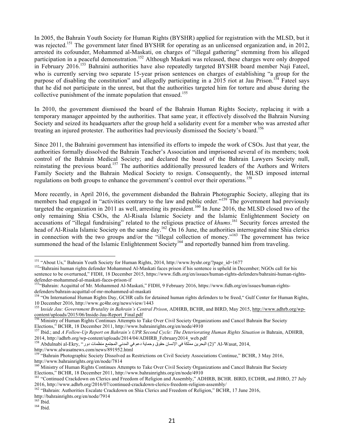In 2005, the Bahrain Youth Society for Human Rights (BYSHR) applied for registration with the MLSD, but it was rejected.<sup>151</sup> The government later fined BYSHR for operating as an unlicensed organization and, in 2012, arrested its cofounder, Mohammed al-Maskati, on charges of "illegal gathering" stemming from his alleged participation in a peaceful demonstration.<sup>152</sup> Although Maskati was released, these charges were only dropped in February 2016.<sup>153</sup> Bahraini authorities have also repeatedly targeted BYSHR board member Naji Fateel, who is currently serving two separate 15-year prison sentences on charges of establishing "a group for the purpose of disabling the constitution" and allegedly participating in a 2015 riot at Jau Prison.<sup>154</sup> Fateel says that he did not participate in the unrest, but that the authorities targeted him for torture and abuse during the collective punishment of the inmate population that ensued.<sup>155</sup>

In 2010, the government dismissed the board of the Bahrain Human Rights Society, replacing it with a temporary manager appointed by the authorities. That same year, it effectively dissolved the Bahrain Nursing Society and seized its headquarters after the group held a solidarity event for a member who was arrested after treating an injured protester. The authorities had previously dismissed the Society's board.<sup>156</sup>

Since 2011, the Bahraini government has intensified its efforts to impede the work of CSOs. Just that year, the authorities formally dissolved the Bahrain Teacher's Association and imprisoned several of its members; took control of the Bahrain Medical Society; and declared the board of the Bahrain Lawyers Society null, reinstating the previous board.<sup>157</sup> The authorities additionally pressured leaders of the Authors and Writers Family Society and the Bahrain Medical Society to resign. Consequently, the MLSD imposed internal regulations on both groups to enhance the government's control over their operations.<sup>158</sup>

More recently, in April 2016, the government disbanded the Bahrain Photographic Society, alleging that its members had engaged in "activities contrary to the law and public order."<sup>159</sup> The government had previously targeted the organization in 2011 as well, arresting its president.<sup>160</sup> In June 2016, the MLSD closed two of the only remaining Shia CSOs, the Al-Risala Islamic Society and the Islamic Enlightenment Society on accusations of "illegal fundraising" related to the religious practice of *khums*. <sup>161</sup> Security forces arrested the head of Al-Risala Islamic Society on the same day.<sup>162</sup> On 16 June, the authorities interrogated nine Shia clerics in connection with the two groups and/or the "illegal collection of money."<sup>163</sup> The government has twice summoned the head of the Islamic Enlightenment Society<sup>164</sup> and reportedly banned him from traveling.

2014, http://adhrb.org/wp-content/uploads/2014/04/ADHRB\_February2014\_web.pdf البحرين مملكة في الإنسان حقوق وحماية دعم في المدني المجتمع منظمات دور ".<br>1<sup>58</sup> Abdulnabi al-Ekry, البحرين مملكة في الإنسان حقوق وحماية دعم في ا

http://www.alwasatnews.com/news/891952.html

<sup>&</sup>lt;sup>151</sup> "About Us," Bahrain Youth Society for Human Rights, 2014, http://www.byshr.org/?page\_id=1677<br><sup>152</sup>"Bahraini human rights defender Mohammed Al-Maskati faces prison if his sentence is upheld in December; NGOs call for sentence to be overturned," FIDH, 18 December 2015, https://www.fidh.org/en/issues/human-rights-defenders/bahraini-human-rightsdefender-mohammed-al-maskati-faces-prison-if<br>
<sup>153</sup>"Bahrain: Acquittal of Mr. Mohammed Al-Maskati," FIDH, 9 February 2016, https://www.fidh.org/en/issues/human-rights-

defenders/bahrain-acquittal-of-mr-mohammed-al-maskati<br>
<sup>154</sup> "On International Human Rights Day, GCHR calls for detained human rights defenders to be freed," Gulf Center for Human Rights,

<sup>10</sup> December 2016, http://www.gc4hr.org/news/view/1443

<sup>155</sup> I*nside Jau: Government Brutality in Bahrain's Central Prison*, ADHRB, BCHR, and BIRD, May 2015, http://www.adhrb.org/wpcontent/uploads/2015/06/Inside-Jau-Report\_Final.pdf<br><sup>156</sup> Ministry of Human Rights Continues Attempts to Take Over Civil Society Organizations and Cancel Bahrain Bar Society

Elections," BCHR, 18 December 2011, http://www.bahrainrights.org/en/node/4910

<sup>&</sup>lt;sup>157</sup> Ibid.; and *A Follow-Up Report on Bahrain's UPR Second Cycle: The Deteriorating Human Rights Situation in Bahrain, ADHRB,* 

<sup>&</sup>lt;sup>159\*</sup>"Bahrain Photographic Society Dissolved as Restrictions on Civil Society Associations Continue," BCHR, 3 May 2016, http://www.bahrainrights.org/en/node/7814

<sup>&</sup>lt;sup>160</sup> Ministry of Human Rights Continues Attempts to Take Over Civil Society Organizations and Cancel Bahrain Bar Society Elections," BCHR, 18 December 2011, http://www.bahrainrights.org/en/node/4910

<sup>&</sup>lt;sup>161</sup> "Continued Crackdown on Clerics and Freedom of Religion and Assembly," ADHRB, BCHR. BIRD, ECDHR, and JHRO, 27 July

<sup>2016,</sup> http://www.adhrb.org/2016/07/continued-crackdown-clerics-freedom-religion-assembly/ <sup>162</sup> "Bahrain: Authorities Escalate Crackdown on Shia Clerics and Freedom of Religion," BCHR, 17 June 2016, http://bahrainrights.org/en/node/7914<br><sup>163</sup> Ibid.<br><sup>164</sup> Ibid.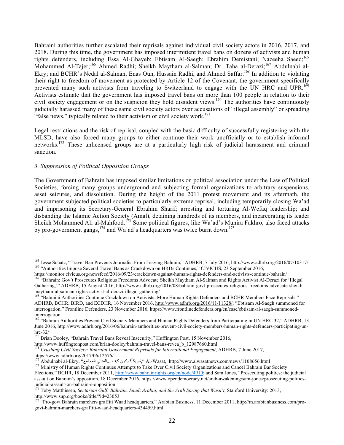Bahraini authorities further escalated their reprisals against individual civil society actors in 2016, 2017, and 2018. During this time, the government has imposed intermittent travel bans on dozens of activists and human rights defenders, including Essa Al-Ghayeb; Ebtisam Al-Saegh; Ebrahim Demistani; Nazeeha Saeed;165 Mohammed Al-Tajer;<sup>166</sup> Ahmed Radhi; Sheikh Maytham al-Salman; Dr. Taha al-Derazi;<sup>167</sup> Abdulnabi al-Ekry; and BCHR's Nedal al-Salman, Enas Oun, Hussain Radhi, and Ahmed Saffar.<sup>168</sup> In addition to violating their right to freedom of movement as protected by Article 12 of the Covenant, the government specifically prevented many such activists from traveling to Switzerland to engage with the UN HRC and UPR.<sup>169</sup> Activists estimate that the government has imposed travel bans on more than 100 people in relation to their civil society engagement or on the suspicion they hold dissident views.<sup>170</sup> The authorities have continuously judicially harassed many of these same civil society actors over accusations of "illegal assembly" or spreading "false news," typically related to their activism or civil society work.<sup>171</sup>

Legal restrictions and the risk of reprisal, coupled with the basic difficulty of successfully registering with the MLSD, have also forced many groups to either continue their work unofficially or to establish informal networks.172 These unlicensed groups are at a particularly high risk of judicial harassment and criminal sanction.

#### *3. Suppression of Political Opposition Groups*

The Government of Bahrain has imposed similar limitations on political association under the Law of Political Societies, forcing many groups underground and subjecting formal organizations to arbitrary suspensions, asset seizures, and dissolution. During the height of the 2011 protest movement and its aftermath, the government subjected political societies to particularly extreme reprisal, including temporarily closing Wa'ad and imprisoning its Secretary-General Ebrahim Sharif; arresting and torturing Al-Wefaq leadership; and disbanding the Islamic Action Society (Amal), detaining hundreds of its members, and incarcerating its leader Sheikh Mohammed Ali al-Mahfood.<sup>173</sup> Some political figures, like Wa'ad's Munira Fakhro, also faced attacks by pro-government gangs,  $^{174}$  and Wa'ad's headquarters was twice burnt down.<sup>175</sup>

<sup>&</sup>lt;sup>165</sup> Jesse Schatz, "Travel Ban Prevents Journalist From Leaving Bahrain," ADHRB, 7 July 2016, http://www.adhrb.org/2016/07/10317/<br><sup>166</sup> "Authorities Impose Several Travel Bans as Crackdown on HRDs Continues," CIVICUS, 23

https://monitor.civicus.org/newsfeed/2016/09/23/crackdown-against-human-rights-defenders-and-activists-continue-bahrain/<br><sup>167</sup> "Bahrain: Gov't Prosecutes Religious Freedoms Advocate Sheikh Maytham Al-Salman and Rights Acti Gathering,'" ADHRB, 15 August 2016, http://www.adhrb.org/2016/08/bahrain-govt-prosecutes-religious-freedoms-advocate-sheikhmaytham-al-salman-rights-activist-al-derazi-illegal-gathering/<br><sup>168</sup> "Bahraini Authorities Continue Crackdown on Activists: More Human Rights Defenders and BCHR Members Face Reprisals,"

ADHRB, BCHR, BIRD, and ECDHR, 16 November 2016, http://www.adhrb.org/2016/11/11328/; "Ebtisam Al-Saegh summoned for interrogation," Frontline Defenders, 23 November 2016, https://www.frontlinedefenders.org/en/case/ebtisam-al-saegh-summonedinterrogation

<sup>169 &</sup>quot;Bahrain Authorities Prevent Civil Society Members and Human Rights Defenders from Participating in UN HRC 32," ADHRB, 13 June 2016, http://www.adhrb.org/2016/06/bahrain-authorities-prevent-civil-society-members-human-rights-defenders-participating-unhrc-32/<br><sup>170</sup> Brian Dooley, "Bahrain Travel Bans Reveal Insecurity," Huffington Post, 15 November 2016,

http://www.huffingtonpost.com/brian-dooley/bahrain-travel-bans-revea\_b\_12987660.html <sup>171</sup> *Crushing Civil Society: Bahraini Government Reprisals for International Engagement*, ADHRB, 7 June 2017, https://www.adhrb.org/2017/06/12576/

<sup>..</sup>المدني المجتمع" ,Abdulnabi al-Ekry-جيشريكاً؟ يكون كيف ...المدني المجتمع" ,Abdulnabi al-Ekry-

<sup>&</sup>lt;sup>173</sup> Ministry of Human Rights Continues Attempts to Take Over Civil Society Organizations and Cancel Bahrain Bar Society Elections," BCHR, 18 December 2011, http://www.bahrainrights.org/en/node/4910; and Sam Jones, "Prosecuting politics: the judicial assault on Bahrain's opposition, 18 December 2016, https://www.opendemocracy.net/arab-awakening/sam-jones/prosecuting-politicsjudicial-assault-on-bahrain-s-opposition<br><sup>174</sup> Toby Matthiesen, *Sectarian Gulf: Bahrain, Saudi Arabia, and the Arab Spring that Wasn't*, Stanford University: 2013,

http://www.sup.org/books/title/?id=23053

<sup>&</sup>lt;sup>175</sup> "Pro-govt Bahrain marchers graffiti Waad headquarters," Arabian Business, 11 December 2011, http://m.arabianbusiness.com/progovt-bahrain-marchers-graffiti-waad-headquarters-434459.html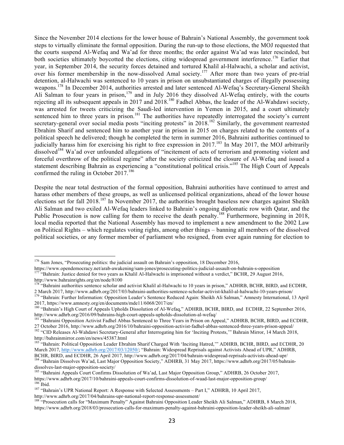Since the November 2014 elections for the lower house of Bahrain's National Assembly, the government took steps to virtually eliminate the formal opposition. During the run-up to those elections, the MOJ requested that the courts suspend Al-Wefaq and Wa'ad for three months; the order against Wa'ad was later rescinded, but both societies ultimately boycotted the elections, citing widespread government interference.<sup>176</sup> Earlier that year, in September 2014, the security forces detained and tortured Khalil al-Halwachi, a scholar and activist, over his former membership in the now-dissolved Amal society.<sup>177</sup> After more than two years of pre-trial detention, al-Halwachi was sentenced to 10 years in prison on unsubstantiated charges of illegally possessing weapons.<sup>178</sup> In December 2014, authorities arrested and later sentenced Al-Wefaq's Secretary-General Sheikh Ali Salman to four years in prison,  $179$  and in July 2016 they dissolved Al-Wefaq entirely, with the courts rejecting all its subsequent appeals in 2017 and 2018.<sup>180</sup> Fadhel Abbas, the leader of the Al-Wahdawi society, was arrested for tweets criticizing the Saudi-led intervention in Yemen in 2015, and a court ultimately sentenced him to three years in prison.<sup>181</sup> The authorities have repeatedly interrogated the society's current secretary-general over social media posts "inciting protests" in 2018.<sup>182</sup> Similarly, the government rearrested Ebrahim Sharif and sentenced him to another year in prison in 2015 on charges related to the contents of a political speech he delivered; though he completed the term in summer 2016, Bahraini authorities continued to judicially harass him for exercising his right to free expression in 2017. <sup>183</sup> In May 2017, the MOJ arbitrarily dissolved<sup>184</sup> Wa'ad over unfounded allegations of "incitement of acts of terrorism and promoting violent and forceful overthrow of the political regime" after the society criticized the closure of Al-Wefaq and issued a statement describing Bahrain as experiencing a "constitutional political crisis."<sup>185</sup> The High Court of Appeals confirmed the ruling in October  $2017$ .<sup>186</sup>

Despite the near total destruction of the formal opposition, Bahraini authorities have continued to arrest and harass other members of these groups, as well as unlicensed political organizations, ahead of the lower house elections set for fall 2018.<sup>187</sup> In November 2017, the authorities brought baseless new charges against Sheikh Ali Salman and two exiled Al-Wefaq leaders linked to Bahrain's ongoing diplomatic row with Qatar, and the Public Prosecution is now calling for them to receive the death penalty.<sup>188</sup> Furthermore, beginning in 2018, local media reported that the National Assembly has moved to implement a new amendment to the 2002 Law on Political Rights – which regulates voting rights, among other things – banning all members of the dissolved political societies, or any former member of parliament who resigned, from ever again running for election to

<sup>&</sup>lt;sup>176</sup> Sam Jones, "Prosecuting politics: the judicial assault on Bahrain's opposition, 18 December 2016,<br>https://www.opendemocracy.net/arab-awakening/sam-jones/prosecuting-politics-judicial-assault-on-bahrain-s-opposition "Bahrain: Justice denied for two years as Khalil Al-Halwachi is imprisoned without a verdict," BCHR, 29 August 2016,

http://www.bahrainrights.org/en/node/8100

<sup>178</sup> "Bahraini authorities sentence scholar and activist Khalil al-Halwachi to 10 years in prison," ADHRB, BCHR, BIRD, and ECDHR, 2 March 2017, http://www.adhrb.org/2017/03/bahraini-authorities-sentence-scholar-activist-khalil-al-halwachi-10-years-prison/<br><sup>179</sup> "Bahrain: Further Information: Opposition Leader's Sentence Reduced Again: Sheikh Ali Salm

<sup>2017,</sup> https://www.amnesty.org/en/documents/mde11/6068/2017/en/

<sup>&</sup>lt;sup>180</sup> "Bahrain's High Court of Appeals Upholds Dissolution of Al-Wefaq," ADHRB, BCHR, BIRD, and ECDHR, 22 September 2016, http://www.adhrb.org/2016/09/bahrains-high-court-appeals-upholds-dissolution-al-wefaq/<br><sup>181</sup> "Bahraini Opposition Activist Fadhel Abbas Sentenced to Three Years in Prison on Appeal," ADHRB, BCHR, BIRD, and ECDHR,

<sup>27</sup> October 2016, http://www.adhrb.org/2016/10/bahraini-opposition-activist-fadhel-abbas-sentenced-three-years-prison-appeal/<br><sup>182</sup> "CID Releases Al-Wahdawi Secretary-General after Interrogating him for 'Inciting Protests,' http://bahrainmirror.com/en/news/45387.html

<sup>&</sup>lt;sup>183</sup> "Bahrain: Political Opposition Leader Ebrahim Sharif Charged With 'Inciting Hatred,'" ADHRB, BCHR, BIRD, and ECDHR, 20 March 2017, http://www.adhrb.org/2017/03/12050/; "Bahrain: Widespread Reprisals against Activists Ahead of UPR," ADHRB, BCHR, BIRD, and ECDHR, 26 April 2017, http://www.adhrb.org/2017/04/bahrain-widespread-reprisals-activi

<sup>&</sup>lt;sup>184</sup> "Bahrain Dissolves Wa'ad, Last Major Opposition Society," ADHRB, 31 May 2017, https://www.adhrb.org/2017/05/bahrain-

dissolves-last-major-opposition-society/<br><sup>185</sup> "Bahraini Appeals Court Confirms Dissolution of Wa'ad, Last Major Opposition Group," ADHRB, 26 October 2017,<br>https://www.adhrb.org/2017/10/bahraini-appeals-court-confirms-diss

<sup>&</sup>lt;sup>186</sup> Ibid.<br><sup>187</sup> "Bahrain's UPR National Report: A Response with Selected Assessments – Part I," ADHRB, 10 April 2017,

http://www.adhrb.org/2017/04/bahrains-upr-national-report-response-assessment/<br><sup>188</sup> "Prosecution calls for "Maximum Penalty" Against Bahraini Opposition Leader Sheikh Ali Salman," ADHRB, 8 March 2018, https://www.adhrb.org/2018/03/prosecution-calls-for-maximum-penalty-against-bahraini-opposition-leader-sheikh-ali-salman/